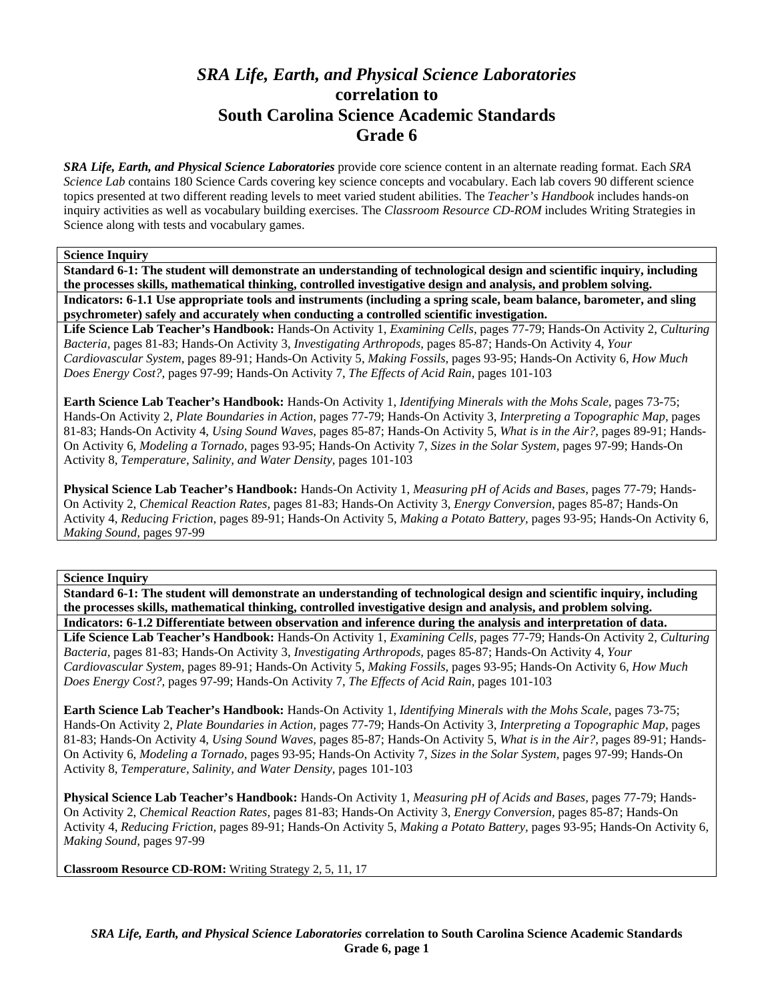# *SRA Life, Earth, and Physical Science Laboratories*  **correlation to South Carolina Science Academic Standards Grade 6**

*SRA Life, Earth, and Physical Science Laboratories* provide core science content in an alternate reading format. Each *SRA Science Lab* contains 180 Science Cards covering key science concepts and vocabulary. Each lab covers 90 different science topics presented at two different reading levels to meet varied student abilities. The *Teacher's Handbook* includes hands-on inquiry activities as well as vocabulary building exercises. The *Classroom Resource CD-ROM* includes Writing Strategies in Science along with tests and vocabulary games.

# **Science Inquiry**

**Standard 6-1: The student will demonstrate an understanding of technological design and scientific inquiry, including the processes skills, mathematical thinking, controlled investigative design and analysis, and problem solving. Indicators: 6-1.1 Use appropriate tools and instruments (including a spring scale, beam balance, barometer, and sling psychrometer) safely and accurately when conducting a controlled scientific investigation.** 

**Life Science Lab Teacher's Handbook:** Hands-On Activity 1, *Examining Cells,* pages 77-79; Hands-On Activity 2, *Culturing Bacteria,* pages 81-83; Hands-On Activity 3, *Investigating Arthropods,* pages 85-87; Hands-On Activity 4, *Your Cardiovascular System,* pages 89-91; Hands-On Activity 5, *Making Fossils,* pages 93-95; Hands-On Activity 6, *How Much Does Energy Cost?,* pages 97-99; Hands-On Activity 7, *The Effects of Acid Rain,* pages 101-103

**Earth Science Lab Teacher's Handbook:** Hands-On Activity 1, *Identifying Minerals with the Mohs Scale,* pages 73-75; Hands-On Activity 2, *Plate Boundaries in Action,* pages 77-79; Hands-On Activity 3, *Interpreting a Topographic Map,* pages 81-83; Hands-On Activity 4, *Using Sound Waves,* pages 85-87; Hands-On Activity 5, *What is in the Air?,* pages 89-91; Hands-On Activity 6, *Modeling a Tornado,* pages 93-95; Hands-On Activity 7, *Sizes in the Solar System,* pages 97-99; Hands-On Activity 8, *Temperature, Salinity, and Water Density,* pages 101-103

**Physical Science Lab Teacher's Handbook:** Hands-On Activity 1, *Measuring pH of Acids and Bases,* pages 77-79; Hands-On Activity 2, *Chemical Reaction Rates,* pages 81-83; Hands-On Activity 3, *Energy Conversion,* pages 85-87; Hands-On Activity 4, *Reducing Friction,* pages 89-91; Hands-On Activity 5, *Making a Potato Battery,* pages 93-95; Hands-On Activity 6, *Making Sound,* pages 97-99

### **Science Inquiry**

**Standard 6-1: The student will demonstrate an understanding of technological design and scientific inquiry, including the processes skills, mathematical thinking, controlled investigative design and analysis, and problem solving. Indicators: 6-1.2 Differentiate between observation and inference during the analysis and interpretation of data.** 

**Life Science Lab Teacher's Handbook:** Hands-On Activity 1, *Examining Cells,* pages 77-79; Hands-On Activity 2, *Culturing Bacteria,* pages 81-83; Hands-On Activity 3, *Investigating Arthropods,* pages 85-87; Hands-On Activity 4, *Your Cardiovascular System,* pages 89-91; Hands-On Activity 5, *Making Fossils,* pages 93-95; Hands-On Activity 6, *How Much Does Energy Cost?,* pages 97-99; Hands-On Activity 7, *The Effects of Acid Rain,* pages 101-103

**Earth Science Lab Teacher's Handbook:** Hands-On Activity 1, *Identifying Minerals with the Mohs Scale,* pages 73-75; Hands-On Activity 2, *Plate Boundaries in Action,* pages 77-79; Hands-On Activity 3, *Interpreting a Topographic Map,* pages 81-83; Hands-On Activity 4, *Using Sound Waves,* pages 85-87; Hands-On Activity 5, *What is in the Air?,* pages 89-91; Hands-On Activity 6, *Modeling a Tornado,* pages 93-95; Hands-On Activity 7, *Sizes in the Solar System,* pages 97-99; Hands-On Activity 8, *Temperature, Salinity, and Water Density,* pages 101-103

**Physical Science Lab Teacher's Handbook:** Hands-On Activity 1, *Measuring pH of Acids and Bases,* pages 77-79; Hands-On Activity 2, *Chemical Reaction Rates,* pages 81-83; Hands-On Activity 3, *Energy Conversion,* pages 85-87; Hands-On Activity 4, *Reducing Friction,* pages 89-91; Hands-On Activity 5, *Making a Potato Battery,* pages 93-95; Hands-On Activity 6, *Making Sound,* pages 97-99

**Classroom Resource CD-ROM:** Writing Strategy 2, 5, 11, 17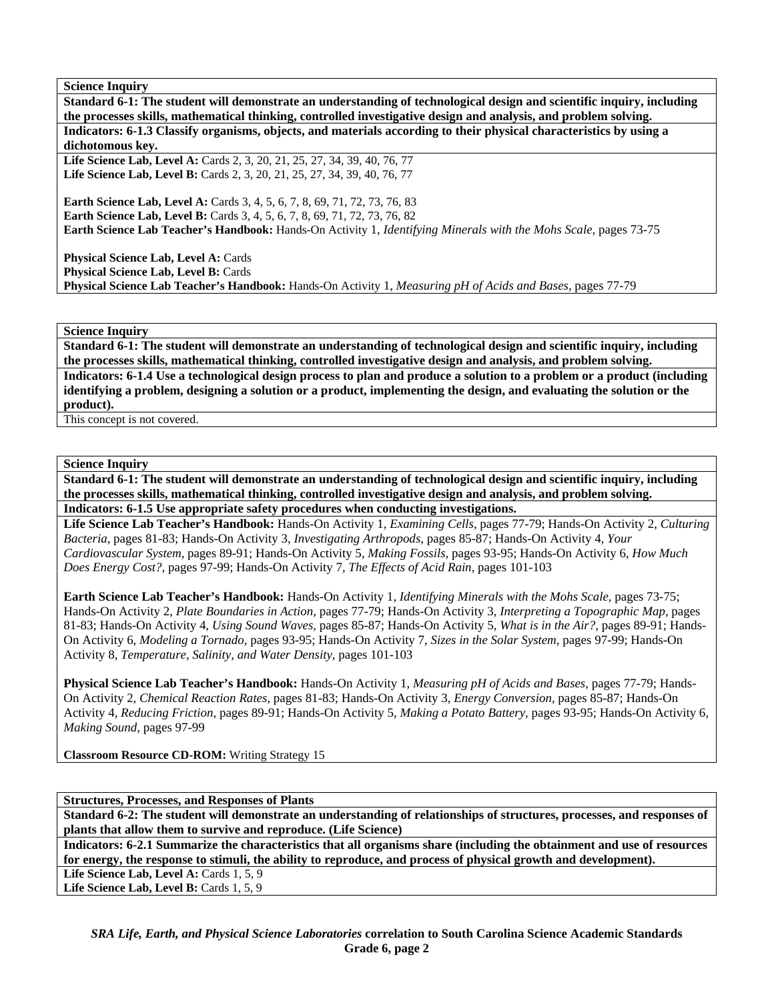**Standard 6-1: The student will demonstrate an understanding of technological design and scientific inquiry, including the processes skills, mathematical thinking, controlled investigative design and analysis, and problem solving. Indicators: 6-1.3 Classify organisms, objects, and materials according to their physical characteristics by using a dichotomous key.**  Life Science Lab, Level A: Cards 2, 3, 20, 21, 25, 27, 34, 39, 40, 76, 77 Life Science Lab, Level B: Cards 2, 3, 20, 21, 25, 27, 34, 39, 40, 76, 77

**Earth Science Lab, Level A:** Cards 3, 4, 5, 6, 7, 8, 69, 71, 72, 73, 76, 83 **Earth Science Lab, Level B:** Cards 3, 4, 5, 6, 7, 8, 69, 71, 72, 73, 76, 82 **Earth Science Lab Teacher's Handbook:** Hands-On Activity 1, *Identifying Minerals with the Mohs Scale,* pages 73-75

**Physical Science Lab, Level A: Cards Physical Science Lab, Level B: Cards Physical Science Lab Teacher's Handbook:** Hands-On Activity 1, *Measuring pH of Acids and Bases,* pages 77-79

**Science Inquiry** 

**Standard 6-1: The student will demonstrate an understanding of technological design and scientific inquiry, including the processes skills, mathematical thinking, controlled investigative design and analysis, and problem solving. Indicators: 6-1.4 Use a technological design process to plan and produce a solution to a problem or a product (including identifying a problem, designing a solution or a product, implementing the design, and evaluating the solution or the product).** 

This concept is not covered.

#### **Science Inquiry**

**Standard 6-1: The student will demonstrate an understanding of technological design and scientific inquiry, including the processes skills, mathematical thinking, controlled investigative design and analysis, and problem solving. Indicators: 6-1.5 Use appropriate safety procedures when conducting investigations.** 

**Life Science Lab Teacher's Handbook:** Hands-On Activity 1, *Examining Cells,* pages 77-79; Hands-On Activity 2, *Culturing Bacteria,* pages 81-83; Hands-On Activity 3, *Investigating Arthropods,* pages 85-87; Hands-On Activity 4, *Your Cardiovascular System,* pages 89-91; Hands-On Activity 5, *Making Fossils,* pages 93-95; Hands-On Activity 6, *How Much Does Energy Cost?,* pages 97-99; Hands-On Activity 7, *The Effects of Acid Rain,* pages 101-103

**Earth Science Lab Teacher's Handbook:** Hands-On Activity 1, *Identifying Minerals with the Mohs Scale,* pages 73-75; Hands-On Activity 2, *Plate Boundaries in Action,* pages 77-79; Hands-On Activity 3, *Interpreting a Topographic Map,* pages 81-83; Hands-On Activity 4, *Using Sound Waves,* pages 85-87; Hands-On Activity 5, *What is in the Air?,* pages 89-91; Hands-On Activity 6, *Modeling a Tornado,* pages 93-95; Hands-On Activity 7, *Sizes in the Solar System,* pages 97-99; Hands-On Activity 8, *Temperature, Salinity, and Water Density,* pages 101-103

**Physical Science Lab Teacher's Handbook:** Hands-On Activity 1, *Measuring pH of Acids and Bases,* pages 77-79; Hands-On Activity 2, *Chemical Reaction Rates,* pages 81-83; Hands-On Activity 3, *Energy Conversion,* pages 85-87; Hands-On Activity 4, *Reducing Friction,* pages 89-91; Hands-On Activity 5, *Making a Potato Battery,* pages 93-95; Hands-On Activity 6, *Making Sound,* pages 97-99

**Classroom Resource CD-ROM:** Writing Strategy 15

**Structures, Processes, and Responses of Plants** 

**Standard 6-2: The student will demonstrate an understanding of relationships of structures, processes, and responses of plants that allow them to survive and reproduce. (Life Science)** 

**Indicators: 6-2.1 Summarize the characteristics that all organisms share (including the obtainment and use of resources for energy, the response to stimuli, the ability to reproduce, and process of physical growth and development).**  Life Science Lab, Level A: Cards 1, 5, 9

Life Science Lab, Level B: Cards 1, 5, 9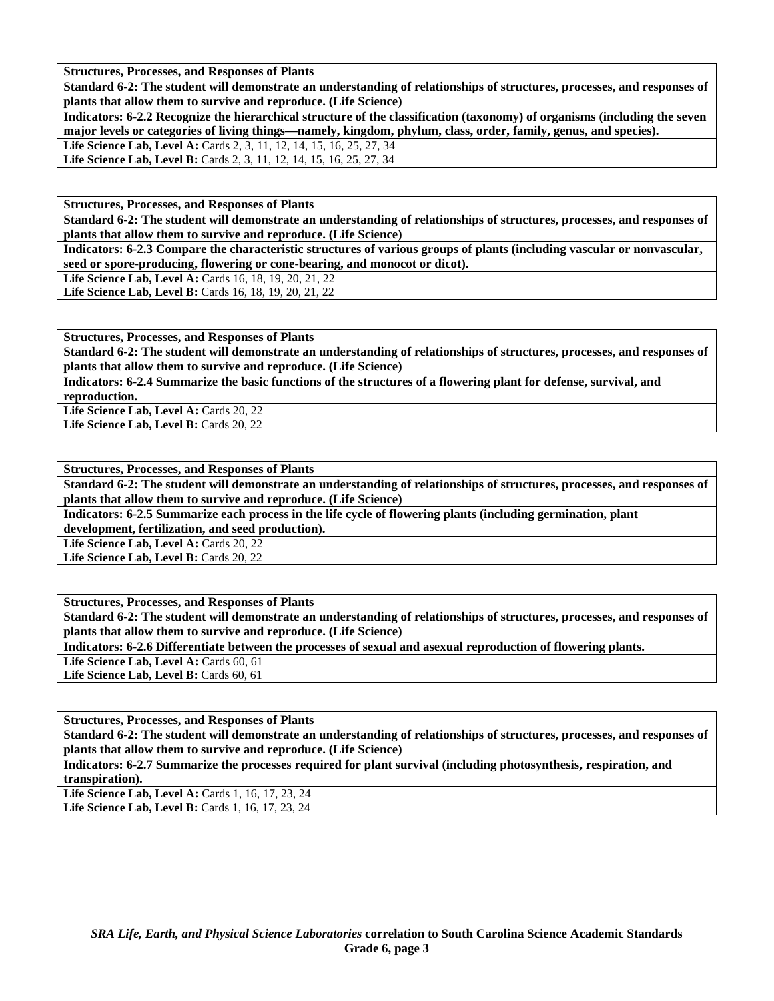**Structures, Processes, and Responses of Plants** 

**Standard 6-2: The student will demonstrate an understanding of relationships of structures, processes, and responses of plants that allow them to survive and reproduce. (Life Science)** 

**Indicators: 6-2.2 Recognize the hierarchical structure of the classification (taxonomy) of organisms (including the seven major levels or categories of living things—namely, kingdom, phylum, class, order, family, genus, and species).**  Life Science Lab, Level A: Cards 2, 3, 11, 12, 14, 15, 16, 25, 27, 34

Life Science Lab, Level B: Cards 2, 3, 11, 12, 14, 15, 16, 25, 27, 34

**Structures, Processes, and Responses of Plants** 

**Standard 6-2: The student will demonstrate an understanding of relationships of structures, processes, and responses of plants that allow them to survive and reproduce. (Life Science)** 

**Indicators: 6-2.3 Compare the characteristic structures of various groups of plants (including vascular or nonvascular, seed or spore-producing, flowering or cone-bearing, and monocot or dicot).** 

**Life Science Lab, Level A:** Cards 16, 18, 19, 20, 21, 22

Life Science Lab, Level B: Cards 16, 18, 19, 20, 21, 22

**Structures, Processes, and Responses of Plants** 

**Standard 6-2: The student will demonstrate an understanding of relationships of structures, processes, and responses of plants that allow them to survive and reproduce. (Life Science)** 

**Indicators: 6-2.4 Summarize the basic functions of the structures of a flowering plant for defense, survival, and reproduction.** 

Life Science Lab, Level A: Cards 20, 22 Life Science Lab, Level B: Cards 20, 22

**Structures, Processes, and Responses of Plants** 

**Standard 6-2: The student will demonstrate an understanding of relationships of structures, processes, and responses of plants that allow them to survive and reproduce. (Life Science)** 

**Indicators: 6-2.5 Summarize each process in the life cycle of flowering plants (including germination, plant development, fertilization, and seed production).** 

Life Science Lab, Level A: Cards 20, 22 Life Science Lab, Level B: Cards 20, 22

**Structures, Processes, and Responses of Plants** 

**Standard 6-2: The student will demonstrate an understanding of relationships of structures, processes, and responses of plants that allow them to survive and reproduce. (Life Science)** 

**Indicators: 6-2.6 Differentiate between the processes of sexual and asexual reproduction of flowering plants.** 

Life Science Lab, Level A: Cards 60, 61 Life Science Lab, Level B: Cards 60, 61

**Structures, Processes, and Responses of Plants** 

**Standard 6-2: The student will demonstrate an understanding of relationships of structures, processes, and responses of plants that allow them to survive and reproduce. (Life Science)** 

**Indicators: 6-2.7 Summarize the processes required for plant survival (including photosynthesis, respiration, and transpiration).** 

Life Science Lab, Level A: Cards 1, 16, 17, 23, 24 Life Science Lab, Level B: Cards 1, 16, 17, 23, 24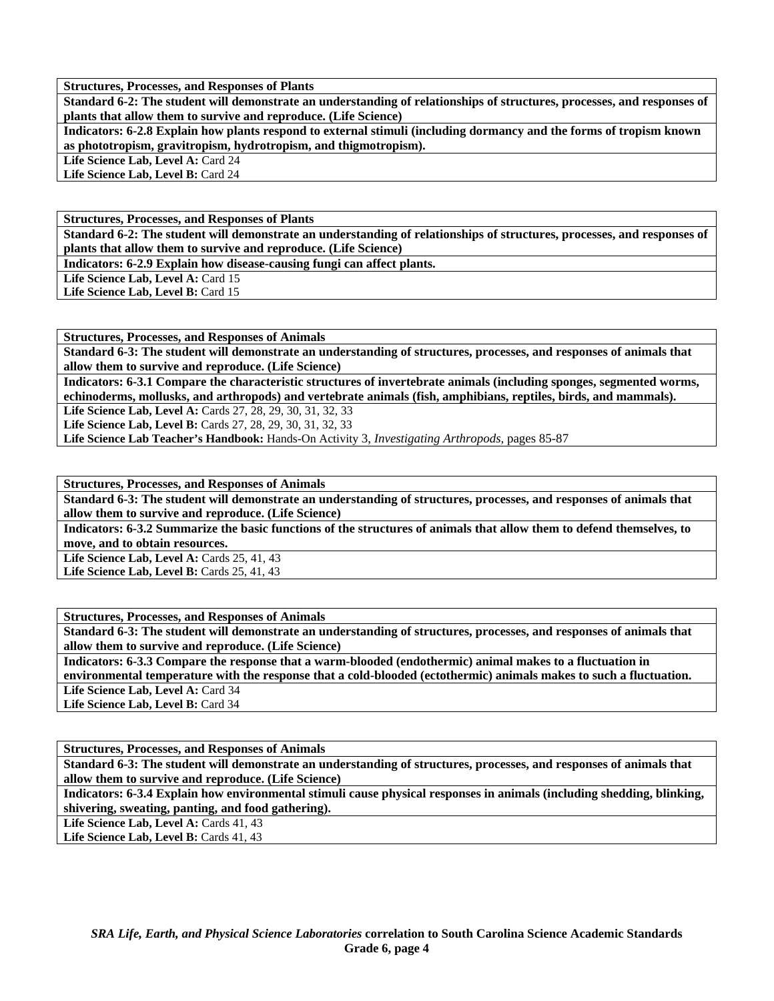**Structures, Processes, and Responses of Plants** 

**Standard 6-2: The student will demonstrate an understanding of relationships of structures, processes, and responses of plants that allow them to survive and reproduce. (Life Science)** 

**Indicators: 6-2.8 Explain how plants respond to external stimuli (including dormancy and the forms of tropism known as phototropism, gravitropism, hydrotropism, and thigmotropism).** 

Life Science Lab, Level A: Card 24

Life Science Lab, Level B: Card 24

**Structures, Processes, and Responses of Plants** 

**Standard 6-2: The student will demonstrate an understanding of relationships of structures, processes, and responses of plants that allow them to survive and reproduce. (Life Science)** 

**Indicators: 6-2.9 Explain how disease-causing fungi can affect plants.** 

Life Science Lab, Level A: Card 15

Life Science Lab, Level B: Card 15

**Structures, Processes, and Responses of Animals** 

**Standard 6-3: The student will demonstrate an understanding of structures, processes, and responses of animals that allow them to survive and reproduce. (Life Science)** 

**Indicators: 6-3.1 Compare the characteristic structures of invertebrate animals (including sponges, segmented worms, echinoderms, mollusks, and arthropods) and vertebrate animals (fish, amphibians, reptiles, birds, and mammals).** 

**Life Science Lab, Level A:** Cards 27, 28, 29, 30, 31, 32, 33

**Life Science Lab, Level B:** Cards 27, 28, 29, 30, 31, 32, 33

**Life Science Lab Teacher's Handbook:** Hands-On Activity 3, *Investigating Arthropods,* pages 85-87

**Structures, Processes, and Responses of Animals** 

**Standard 6-3: The student will demonstrate an understanding of structures, processes, and responses of animals that allow them to survive and reproduce. (Life Science)** 

**Indicators: 6-3.2 Summarize the basic functions of the structures of animals that allow them to defend themselves, to move, and to obtain resources.** 

**Life Science Lab, Level A: Cards 25, 41, 43 Life Science Lab, Level B: Cards 25, 41, 43** 

**Structures, Processes, and Responses of Animals** 

**Standard 6-3: The student will demonstrate an understanding of structures, processes, and responses of animals that allow them to survive and reproduce. (Life Science)** 

**Indicators: 6-3.3 Compare the response that a warm-blooded (endothermic) animal makes to a fluctuation in environmental temperature with the response that a cold-blooded (ectothermic) animals makes to such a fluctuation.** 

Life Science Lab, Level A: Card 34

Life Science Lab, Level B: Card 34

**Structures, Processes, and Responses of Animals** 

**Standard 6-3: The student will demonstrate an understanding of structures, processes, and responses of animals that allow them to survive and reproduce. (Life Science)** 

**Indicators: 6-3.4 Explain how environmental stimuli cause physical responses in animals (including shedding, blinking, shivering, sweating, panting, and food gathering).** 

Life Science Lab, Level A: Cards 41, 43

Life Science Lab, Level B: Cards 41, 43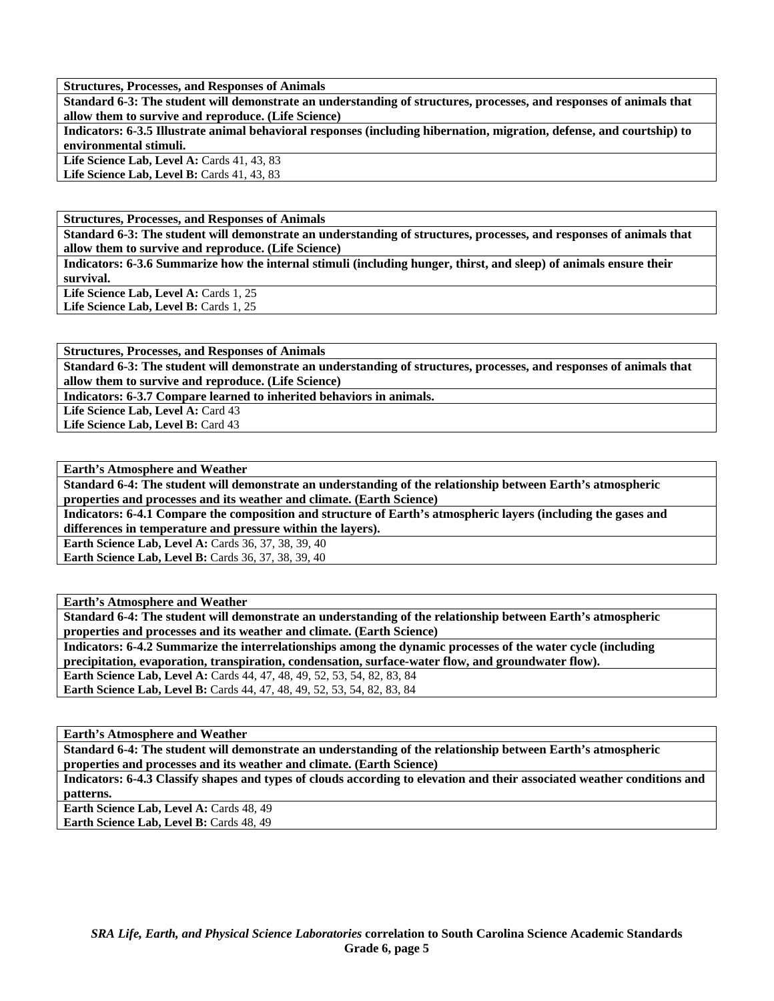**Structures, Processes, and Responses of Animals** 

**Standard 6-3: The student will demonstrate an understanding of structures, processes, and responses of animals that allow them to survive and reproduce. (Life Science)** 

**Indicators: 6-3.5 Illustrate animal behavioral responses (including hibernation, migration, defense, and courtship) to environmental stimuli.** 

Life Science Lab, Level A: Cards 41, 43, 83 Life Science Lab, Level B: Cards 41, 43, 83

**Structures, Processes, and Responses of Animals** 

**Standard 6-3: The student will demonstrate an understanding of structures, processes, and responses of animals that allow them to survive and reproduce. (Life Science)** 

**Indicators: 6-3.6 Summarize how the internal stimuli (including hunger, thirst, and sleep) of animals ensure their survival.** 

Life Science Lab, Level A: Cards 1, 25 Life Science Lab, Level B: Cards 1, 25

**Structures, Processes, and Responses of Animals** 

**Standard 6-3: The student will demonstrate an understanding of structures, processes, and responses of animals that allow them to survive and reproduce. (Life Science)** 

**Indicators: 6-3.7 Compare learned to inherited behaviors in animals.** 

Life Science Lab, Level A: Card 43 **Life Science Lab, Level B:** Card 43

**Earth's Atmosphere and Weather** 

**Standard 6-4: The student will demonstrate an understanding of the relationship between Earth's atmospheric properties and processes and its weather and climate. (Earth Science)** 

**Indicators: 6-4.1 Compare the composition and structure of Earth's atmospheric layers (including the gases and differences in temperature and pressure within the layers).** 

**Earth Science Lab, Level A:** Cards 36, 37, 38, 39, 40 **Earth Science Lab, Level B: Cards 36, 37, 38, 39, 40** 

**Earth's Atmosphere and Weather** 

**Standard 6-4: The student will demonstrate an understanding of the relationship between Earth's atmospheric properties and processes and its weather and climate. (Earth Science)** 

**Indicators: 6-4.2 Summarize the interrelationships among the dynamic processes of the water cycle (including precipitation, evaporation, transpiration, condensation, surface-water flow, and groundwater flow). Earth Science Lab, Level A:** Cards 44, 47, 48, 49, 52, 53, 54, 82, 83, 84

**Earth Science Lab, Level B:** Cards 44, 47, 48, 49, 52, 53, 54, 82, 83, 84

**Earth's Atmosphere and Weather** 

**Standard 6-4: The student will demonstrate an understanding of the relationship between Earth's atmospheric properties and processes and its weather and climate. (Earth Science)** 

**Indicators: 6-4.3 Classify shapes and types of clouds according to elevation and their associated weather conditions and patterns.** 

Earth Science Lab, Level A: Cards 48, 49 Earth Science Lab, Level B: Cards 48, 49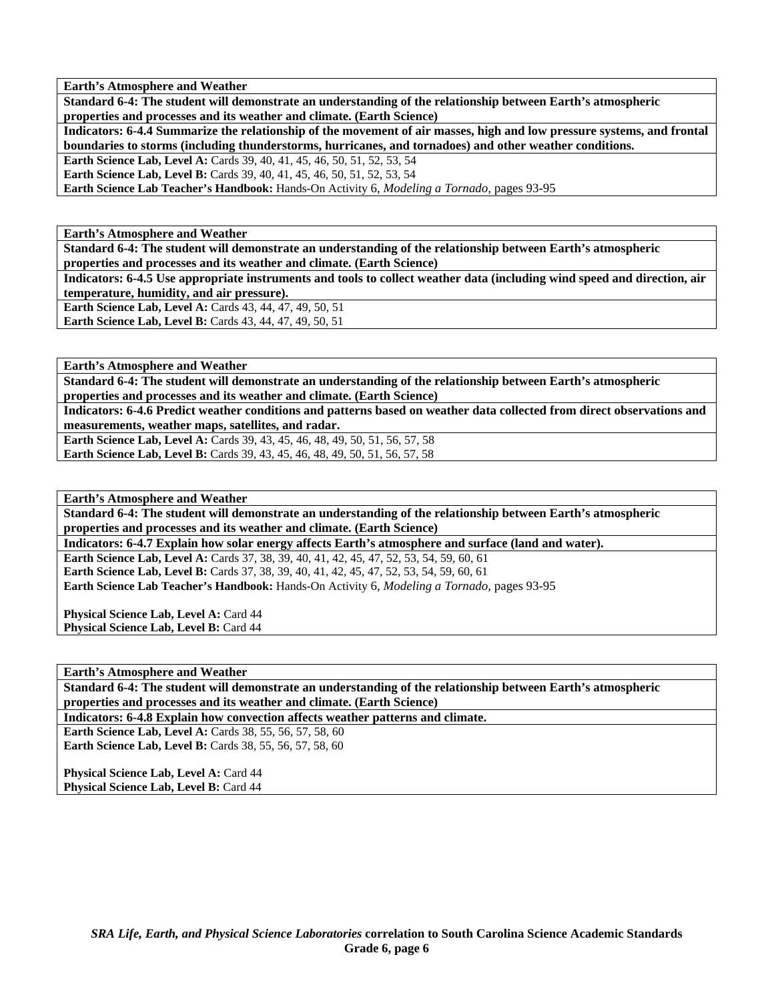**Earth's Atmosphere and Weather** 

**Standard 6-4: The student will demonstrate an understanding of the relationship between Earth's atmospheric properties and processes and its weather and climate. (Earth Science)** 

**Indicators: 6-4.4 Summarize the relationship of the movement of air masses, high and low pressure systems, and frontal boundaries to storms (including thunderstorms, hurricanes, and tornadoes) and other weather conditions.** 

**Earth Science Lab, Level A: Cards 39, 40, 41, 45, 46, 50, 51, 52, 53, 54** 

**Earth Science Lab, Level B:** Cards 39, 40, 41, 45, 46, 50, 51, 52, 53, 54

**Earth Science Lab Teacher's Handbook:** Hands-On Activity 6, *Modeling a Tornado,* pages 93-95

**Earth's Atmosphere and Weather** 

**Standard 6-4: The student will demonstrate an understanding of the relationship between Earth's atmospheric properties and processes and its weather and climate. (Earth Science)** 

**Indicators: 6-4.5 Use appropriate instruments and tools to collect weather data (including wind speed and direction, air temperature, humidity, and air pressure).** 

**Earth Science Lab, Level A:** Cards 43, 44, 47, 49, 50, 51 **Earth Science Lab, Level B: Cards 43, 44, 47, 49, 50, 51** 

**Earth's Atmosphere and Weather** 

**Standard 6-4: The student will demonstrate an understanding of the relationship between Earth's atmospheric properties and processes and its weather and climate. (Earth Science)** 

**Indicators: 6-4.6 Predict weather conditions and patterns based on weather data collected from direct observations and measurements, weather maps, satellites, and radar.** 

**Earth Science Lab, Level A: Cards 39, 43, 45, 46, 48, 49, 50, 51, 56, 57, 58 Earth Science Lab, Level B:** Cards 39, 43, 45, 46, 48, 49, 50, 51, 56, 57, 58

**Earth's Atmosphere and Weather** 

**Standard 6-4: The student will demonstrate an understanding of the relationship between Earth's atmospheric properties and processes and its weather and climate. (Earth Science)** 

**Indicators: 6-4.7 Explain how solar energy affects Earth's atmosphere and surface (land and water).** 

**Earth Science Lab, Level A:** Cards 37, 38, 39, 40, 41, 42, 45, 47, 52, 53, 54, 59, 60, 61 **Earth Science Lab, Level B:** Cards 37, 38, 39, 40, 41, 42, 45, 47, 52, 53, 54, 59, 60, 61 **Earth Science Lab Teacher's Handbook:** Hands-On Activity 6, *Modeling a Tornado,* pages 93-95

**Physical Science Lab, Level A: Card 44** Physical Science Lab, Level B: Card 44

**Earth's Atmosphere and Weather** 

**Standard 6-4: The student will demonstrate an understanding of the relationship between Earth's atmospheric properties and processes and its weather and climate. (Earth Science)** 

**Indicators: 6-4.8 Explain how convection affects weather patterns and climate.** 

**Earth Science Lab, Level A: Cards 38, 55, 56, 57, 58, 60 Earth Science Lab, Level B:** Cards 38, 55, 56, 57, 58, 60

Physical Science Lab, Level A: Card 44 **Physical Science Lab, Level B: Card 44**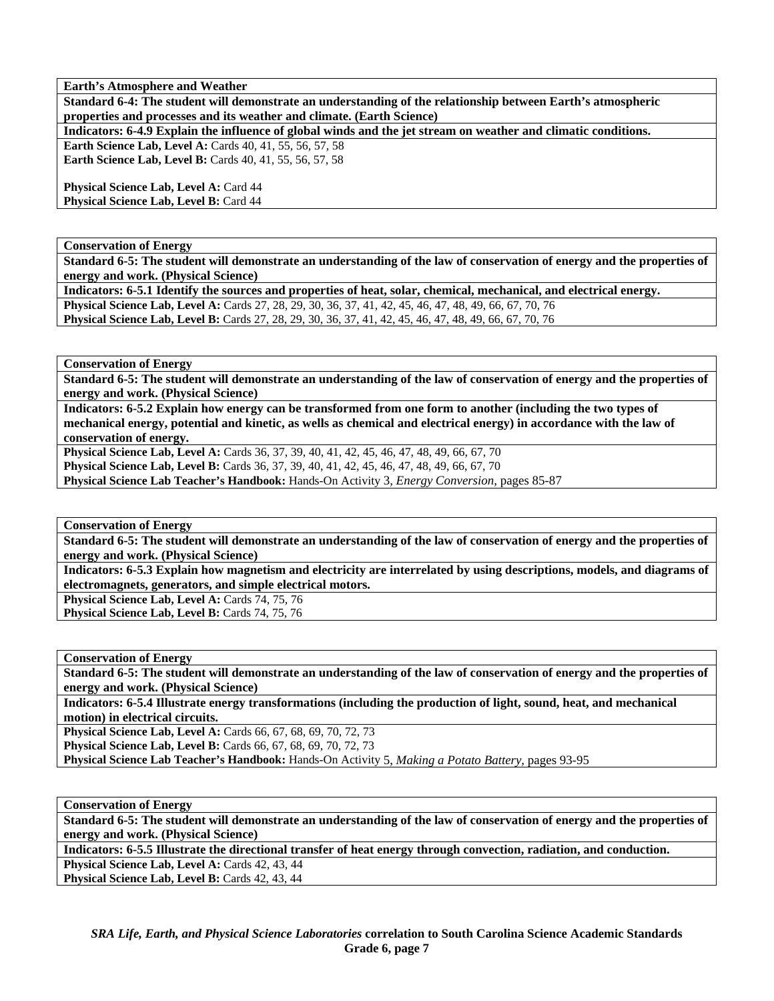**Earth's Atmosphere and Weather** 

**Standard 6-4: The student will demonstrate an understanding of the relationship between Earth's atmospheric properties and processes and its weather and climate. (Earth Science)** 

**Indicators: 6-4.9 Explain the influence of global winds and the jet stream on weather and climatic conditions.** 

**Earth Science Lab, Level A: Cards 40, 41, 55, 56, 57, 58 Earth Science Lab, Level B:** Cards 40, 41, 55, 56, 57, 58

**Physical Science Lab, Level A: Card 44** Physical Science Lab, Level B: Card 44

**Conservation of Energy** 

**Standard 6-5: The student will demonstrate an understanding of the law of conservation of energy and the properties of energy and work. (Physical Science)** 

**Indicators: 6-5.1 Identify the sources and properties of heat, solar, chemical, mechanical, and electrical energy. Physical Science Lab, Level A:** Cards 27, 28, 29, 30, 36, 37, 41, 42, 45, 46, 47, 48, 49, 66, 67, 70, 76 **Physical Science Lab, Level B:** Cards 27, 28, 29, 30, 36, 37, 41, 42, 45, 46, 47, 48, 49, 66, 67, 70, 76

**Conservation of Energy** 

**Standard 6-5: The student will demonstrate an understanding of the law of conservation of energy and the properties of energy and work. (Physical Science)** 

**Indicators: 6-5.2 Explain how energy can be transformed from one form to another (including the two types of mechanical energy, potential and kinetic, as wells as chemical and electrical energy) in accordance with the law of conservation of energy.** 

**Physical Science Lab, Level A:** Cards 36, 37, 39, 40, 41, 42, 45, 46, 47, 48, 49, 66, 67, 70 **Physical Science Lab, Level B:** Cards 36, 37, 39, 40, 41, 42, 45, 46, 47, 48, 49, 66, 67, 70 **Physical Science Lab Teacher's Handbook:** Hands-On Activity 3, *Energy Conversion,* pages 85-87

**Conservation of Energy** 

**Standard 6-5: The student will demonstrate an understanding of the law of conservation of energy and the properties of energy and work. (Physical Science)** 

**Indicators: 6-5.3 Explain how magnetism and electricity are interrelated by using descriptions, models, and diagrams of electromagnets, generators, and simple electrical motors.** 

Physical Science Lab, Level A: Cards 74, 75, 76

Physical Science Lab, Level B: Cards 74, 75, 76

**Conservation of Energy** 

**Standard 6-5: The student will demonstrate an understanding of the law of conservation of energy and the properties of energy and work. (Physical Science)** 

**Indicators: 6-5.4 Illustrate energy transformations (including the production of light, sound, heat, and mechanical motion) in electrical circuits.** 

**Physical Science Lab, Level A:** Cards 66, 67, 68, 69, 70, 72, 73 **Physical Science Lab, Level B:** Cards 66, 67, 68, 69, 70, 72, 73

**Physical Science Lab Teacher's Handbook:** Hands-On Activity 5, *Making a Potato Battery,* pages 93-95

**Conservation of Energy** 

**Standard 6-5: The student will demonstrate an understanding of the law of conservation of energy and the properties of energy and work. (Physical Science)** 

**Indicators: 6-5.5 Illustrate the directional transfer of heat energy through convection, radiation, and conduction.** 

**Physical Science Lab, Level A: Cards 42, 43, 44** 

**Physical Science Lab, Level B: Cards 42, 43, 44**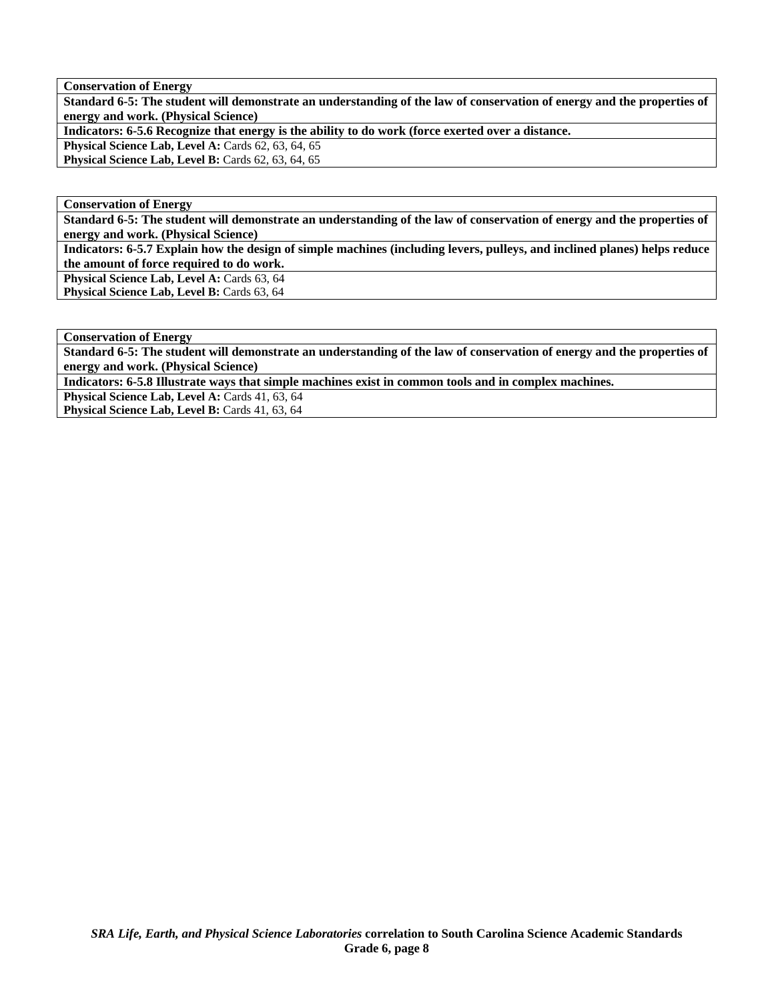**Conservation of Energy** 

**Standard 6-5: The student will demonstrate an understanding of the law of conservation of energy and the properties of energy and work. (Physical Science)** 

**Indicators: 6-5.6 Recognize that energy is the ability to do work (force exerted over a distance.** 

Physical Science Lab, Level A: Cards 62, 63, 64, 65

**Physical Science Lab, Level B: Cards 62, 63, 64, 65** 

**Conservation of Energy** 

**Standard 6-5: The student will demonstrate an understanding of the law of conservation of energy and the properties of energy and work. (Physical Science)** 

**Indicators: 6-5.7 Explain how the design of simple machines (including levers, pulleys, and inclined planes) helps reduce the amount of force required to do work.** 

Physical Science Lab, Level A: Cards 63, 64

Physical Science Lab, Level B: Cards 63, 64

**Conservation of Energy** 

**Standard 6-5: The student will demonstrate an understanding of the law of conservation of energy and the properties of energy and work. (Physical Science)** 

**Indicators: 6-5.8 Illustrate ways that simple machines exist in common tools and in complex machines.** 

Physical Science Lab, Level A: Cards 41, 63, 64 Physical Science Lab, Level B: Cards 41, 63, 64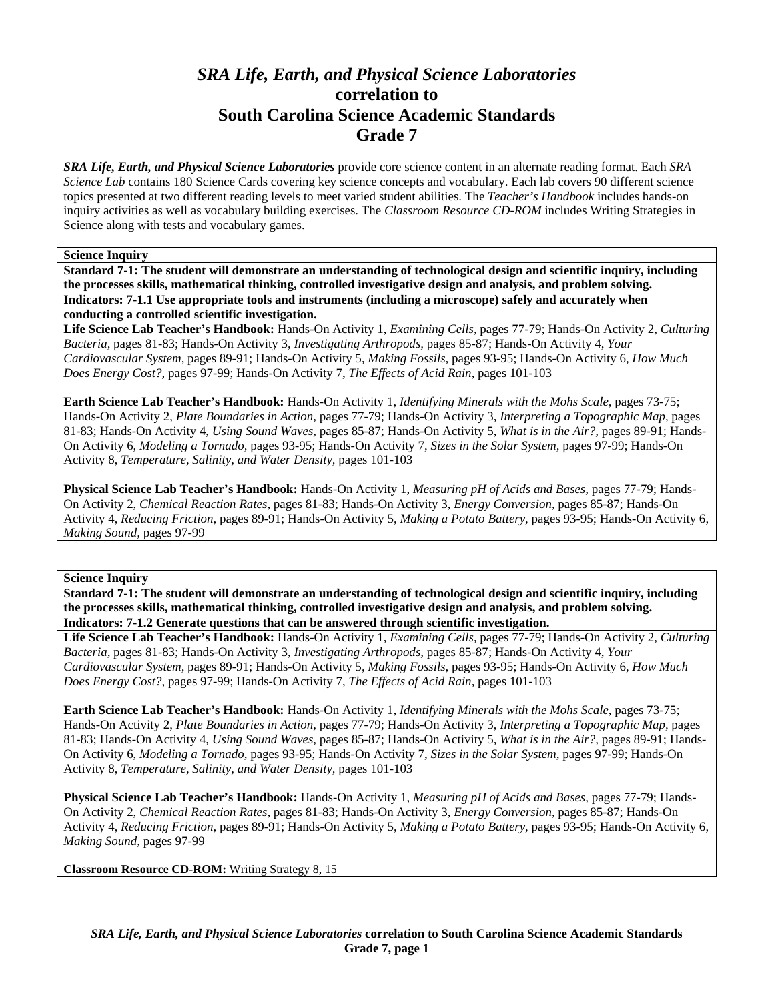# *SRA Life, Earth, and Physical Science Laboratories*  **correlation to South Carolina Science Academic Standards Grade 7**

*SRA Life, Earth, and Physical Science Laboratories* provide core science content in an alternate reading format. Each *SRA Science Lab* contains 180 Science Cards covering key science concepts and vocabulary. Each lab covers 90 different science topics presented at two different reading levels to meet varied student abilities. The *Teacher's Handbook* includes hands-on inquiry activities as well as vocabulary building exercises. The *Classroom Resource CD-ROM* includes Writing Strategies in Science along with tests and vocabulary games.

# **Science Inquiry**

**Standard 7-1: The student will demonstrate an understanding of technological design and scientific inquiry, including the processes skills, mathematical thinking, controlled investigative design and analysis, and problem solving. Indicators: 7-1.1 Use appropriate tools and instruments (including a microscope) safely and accurately when conducting a controlled scientific investigation.** 

**Life Science Lab Teacher's Handbook:** Hands-On Activity 1, *Examining Cells,* pages 77-79; Hands-On Activity 2, *Culturing Bacteria,* pages 81-83; Hands-On Activity 3, *Investigating Arthropods,* pages 85-87; Hands-On Activity 4, *Your Cardiovascular System,* pages 89-91; Hands-On Activity 5, *Making Fossils,* pages 93-95; Hands-On Activity 6, *How Much Does Energy Cost?,* pages 97-99; Hands-On Activity 7, *The Effects of Acid Rain,* pages 101-103

**Earth Science Lab Teacher's Handbook:** Hands-On Activity 1, *Identifying Minerals with the Mohs Scale,* pages 73-75; Hands-On Activity 2, *Plate Boundaries in Action,* pages 77-79; Hands-On Activity 3, *Interpreting a Topographic Map,* pages 81-83; Hands-On Activity 4, *Using Sound Waves,* pages 85-87; Hands-On Activity 5, *What is in the Air?,* pages 89-91; Hands-On Activity 6, *Modeling a Tornado,* pages 93-95; Hands-On Activity 7, *Sizes in the Solar System,* pages 97-99; Hands-On Activity 8, *Temperature, Salinity, and Water Density,* pages 101-103

**Physical Science Lab Teacher's Handbook:** Hands-On Activity 1, *Measuring pH of Acids and Bases,* pages 77-79; Hands-On Activity 2, *Chemical Reaction Rates,* pages 81-83; Hands-On Activity 3, *Energy Conversion,* pages 85-87; Hands-On Activity 4, *Reducing Friction,* pages 89-91; Hands-On Activity 5, *Making a Potato Battery,* pages 93-95; Hands-On Activity 6, *Making Sound,* pages 97-99

### **Science Inquiry**

**Standard 7-1: The student will demonstrate an understanding of technological design and scientific inquiry, including the processes skills, mathematical thinking, controlled investigative design and analysis, and problem solving. Indicators: 7-1.2 Generate questions that can be answered through scientific investigation.** 

**Life Science Lab Teacher's Handbook:** Hands-On Activity 1, *Examining Cells,* pages 77-79; Hands-On Activity 2, *Culturing Bacteria,* pages 81-83; Hands-On Activity 3, *Investigating Arthropods,* pages 85-87; Hands-On Activity 4, *Your Cardiovascular System,* pages 89-91; Hands-On Activity 5, *Making Fossils,* pages 93-95; Hands-On Activity 6, *How Much Does Energy Cost?,* pages 97-99; Hands-On Activity 7, *The Effects of Acid Rain,* pages 101-103

**Earth Science Lab Teacher's Handbook:** Hands-On Activity 1, *Identifying Minerals with the Mohs Scale,* pages 73-75; Hands-On Activity 2, *Plate Boundaries in Action,* pages 77-79; Hands-On Activity 3, *Interpreting a Topographic Map,* pages 81-83; Hands-On Activity 4, *Using Sound Waves,* pages 85-87; Hands-On Activity 5, *What is in the Air?,* pages 89-91; Hands-On Activity 6, *Modeling a Tornado,* pages 93-95; Hands-On Activity 7, *Sizes in the Solar System,* pages 97-99; Hands-On Activity 8, *Temperature, Salinity, and Water Density,* pages 101-103

**Physical Science Lab Teacher's Handbook:** Hands-On Activity 1, *Measuring pH of Acids and Bases,* pages 77-79; Hands-On Activity 2, *Chemical Reaction Rates,* pages 81-83; Hands-On Activity 3, *Energy Conversion,* pages 85-87; Hands-On Activity 4, *Reducing Friction,* pages 89-91; Hands-On Activity 5, *Making a Potato Battery,* pages 93-95; Hands-On Activity 6, *Making Sound,* pages 97-99

**Classroom Resource CD-ROM:** Writing Strategy 8, 15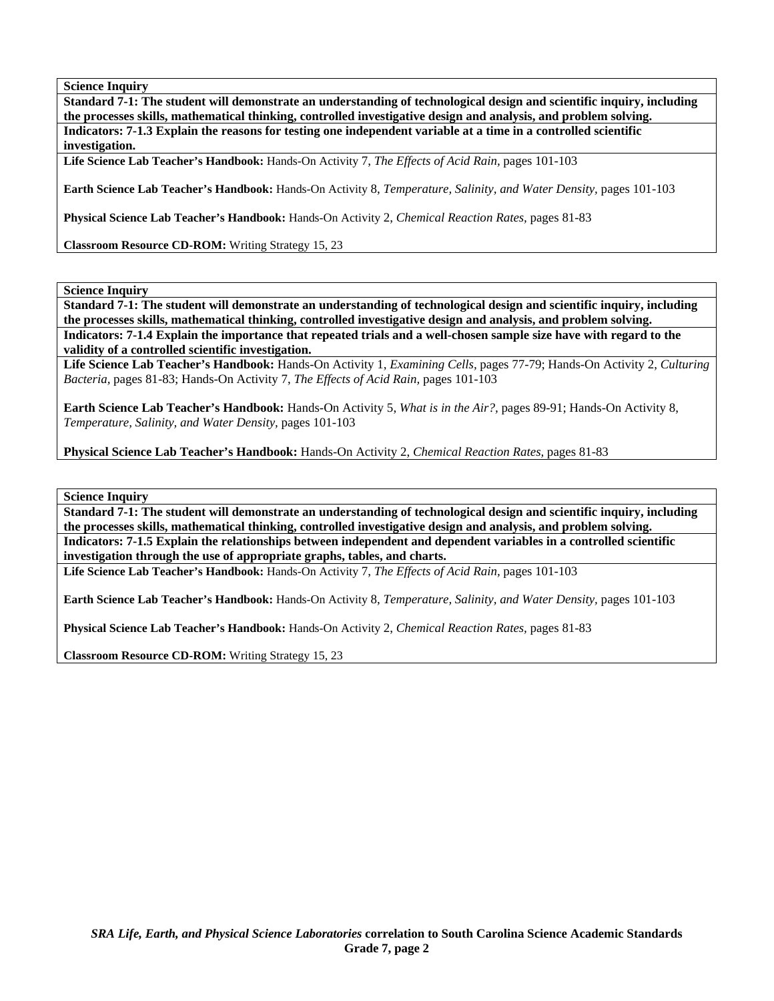**Standard 7-1: The student will demonstrate an understanding of technological design and scientific inquiry, including the processes skills, mathematical thinking, controlled investigative design and analysis, and problem solving. Indicators: 7-1.3 Explain the reasons for testing one independent variable at a time in a controlled scientific investigation.** 

**Life Science Lab Teacher's Handbook:** Hands-On Activity 7, *The Effects of Acid Rain,* pages 101-103

**Earth Science Lab Teacher's Handbook:** Hands-On Activity 8, *Temperature, Salinity, and Water Density,* pages 101-103

**Physical Science Lab Teacher's Handbook:** Hands-On Activity 2, *Chemical Reaction Rates,* pages 81-83

**Classroom Resource CD-ROM:** Writing Strategy 15, 23

**Science Inquiry** 

**Standard 7-1: The student will demonstrate an understanding of technological design and scientific inquiry, including the processes skills, mathematical thinking, controlled investigative design and analysis, and problem solving. Indicators: 7-1.4 Explain the importance that repeated trials and a well-chosen sample size have with regard to the validity of a controlled scientific investigation.** 

**Life Science Lab Teacher's Handbook:** Hands-On Activity 1, *Examining Cells,* pages 77-79; Hands-On Activity 2, *Culturing Bacteria,* pages 81-83; Hands-On Activity 7, *The Effects of Acid Rain,* pages 101-103

**Earth Science Lab Teacher's Handbook:** Hands-On Activity 5, *What is in the Air?,* pages 89-91; Hands-On Activity 8, *Temperature, Salinity, and Water Density,* pages 101-103

**Physical Science Lab Teacher's Handbook:** Hands-On Activity 2, *Chemical Reaction Rates,* pages 81-83

**Science Inquiry** 

**Standard 7-1: The student will demonstrate an understanding of technological design and scientific inquiry, including the processes skills, mathematical thinking, controlled investigative design and analysis, and problem solving. Indicators: 7-1.5 Explain the relationships between independent and dependent variables in a controlled scientific investigation through the use of appropriate graphs, tables, and charts.** 

**Life Science Lab Teacher's Handbook:** Hands-On Activity 7, *The Effects of Acid Rain,* pages 101-103

**Earth Science Lab Teacher's Handbook:** Hands-On Activity 8, *Temperature, Salinity, and Water Density,* pages 101-103

**Physical Science Lab Teacher's Handbook:** Hands-On Activity 2, *Chemical Reaction Rates,* pages 81-83

**Classroom Resource CD-ROM:** Writing Strategy 15, 23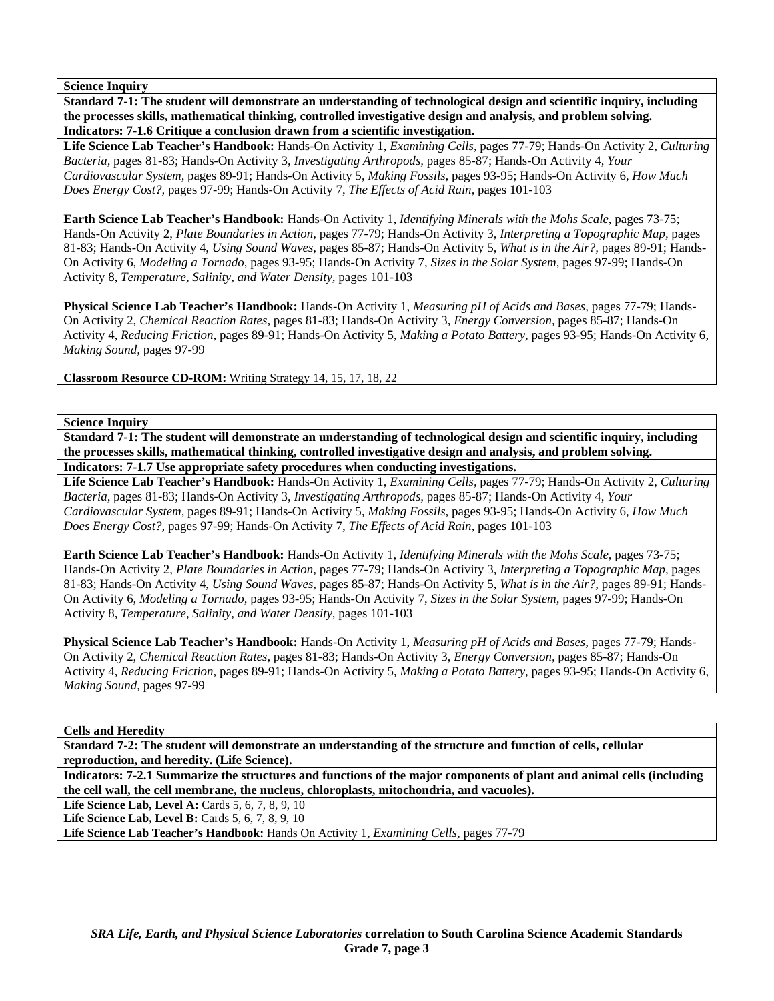**Standard 7-1: The student will demonstrate an understanding of technological design and scientific inquiry, including the processes skills, mathematical thinking, controlled investigative design and analysis, and problem solving. Indicators: 7-1.6 Critique a conclusion drawn from a scientific investigation.** 

**Life Science Lab Teacher's Handbook:** Hands-On Activity 1, *Examining Cells,* pages 77-79; Hands-On Activity 2, *Culturing Bacteria,* pages 81-83; Hands-On Activity 3, *Investigating Arthropods,* pages 85-87; Hands-On Activity 4, *Your Cardiovascular System,* pages 89-91; Hands-On Activity 5, *Making Fossils,* pages 93-95; Hands-On Activity 6, *How Much Does Energy Cost?,* pages 97-99; Hands-On Activity 7, *The Effects of Acid Rain,* pages 101-103

**Earth Science Lab Teacher's Handbook:** Hands-On Activity 1, *Identifying Minerals with the Mohs Scale,* pages 73-75; Hands-On Activity 2, *Plate Boundaries in Action,* pages 77-79; Hands-On Activity 3, *Interpreting a Topographic Map,* pages 81-83; Hands-On Activity 4, *Using Sound Waves,* pages 85-87; Hands-On Activity 5, *What is in the Air?,* pages 89-91; Hands-On Activity 6, *Modeling a Tornado,* pages 93-95; Hands-On Activity 7, *Sizes in the Solar System,* pages 97-99; Hands-On Activity 8, *Temperature, Salinity, and Water Density,* pages 101-103

**Physical Science Lab Teacher's Handbook:** Hands-On Activity 1, *Measuring pH of Acids and Bases,* pages 77-79; Hands-On Activity 2, *Chemical Reaction Rates,* pages 81-83; Hands-On Activity 3, *Energy Conversion,* pages 85-87; Hands-On Activity 4, *Reducing Friction,* pages 89-91; Hands-On Activity 5, *Making a Potato Battery,* pages 93-95; Hands-On Activity 6, *Making Sound,* pages 97-99

**Classroom Resource CD-ROM:** Writing Strategy 14, 15, 17, 18, 22

**Science Inquiry** 

**Standard 7-1: The student will demonstrate an understanding of technological design and scientific inquiry, including the processes skills, mathematical thinking, controlled investigative design and analysis, and problem solving. Indicators: 7-1.7 Use appropriate safety procedures when conducting investigations.** 

**Life Science Lab Teacher's Handbook:** Hands-On Activity 1, *Examining Cells,* pages 77-79; Hands-On Activity 2, *Culturing Bacteria,* pages 81-83; Hands-On Activity 3, *Investigating Arthropods,* pages 85-87; Hands-On Activity 4, *Your Cardiovascular System,* pages 89-91; Hands-On Activity 5, *Making Fossils,* pages 93-95; Hands-On Activity 6, *How Much Does Energy Cost?,* pages 97-99; Hands-On Activity 7, *The Effects of Acid Rain,* pages 101-103

**Earth Science Lab Teacher's Handbook:** Hands-On Activity 1, *Identifying Minerals with the Mohs Scale,* pages 73-75; Hands-On Activity 2, *Plate Boundaries in Action,* pages 77-79; Hands-On Activity 3, *Interpreting a Topographic Map,* pages 81-83; Hands-On Activity 4, *Using Sound Waves,* pages 85-87; Hands-On Activity 5, *What is in the Air?,* pages 89-91; Hands-On Activity 6, *Modeling a Tornado,* pages 93-95; Hands-On Activity 7, *Sizes in the Solar System,* pages 97-99; Hands-On Activity 8, *Temperature, Salinity, and Water Density,* pages 101-103

**Physical Science Lab Teacher's Handbook:** Hands-On Activity 1, *Measuring pH of Acids and Bases,* pages 77-79; Hands-On Activity 2, *Chemical Reaction Rates,* pages 81-83; Hands-On Activity 3, *Energy Conversion,* pages 85-87; Hands-On Activity 4, *Reducing Friction,* pages 89-91; Hands-On Activity 5, *Making a Potato Battery,* pages 93-95; Hands-On Activity 6, *Making Sound,* pages 97-99

**Cells and Heredity** 

**Standard 7-2: The student will demonstrate an understanding of the structure and function of cells, cellular reproduction, and heredity. (Life Science).** 

**Indicators: 7-2.1 Summarize the structures and functions of the major components of plant and animal cells (including the cell wall, the cell membrane, the nucleus, chloroplasts, mitochondria, and vacuoles).** 

**Life Science Lab, Level A: Cards 5, 6, 7, 8, 9, 10** 

**Life Science Lab, Level B:** Cards 5, 6, 7, 8, 9, 10

**Life Science Lab Teacher's Handbook:** Hands On Activity 1, *Examining Cells,* pages 77-79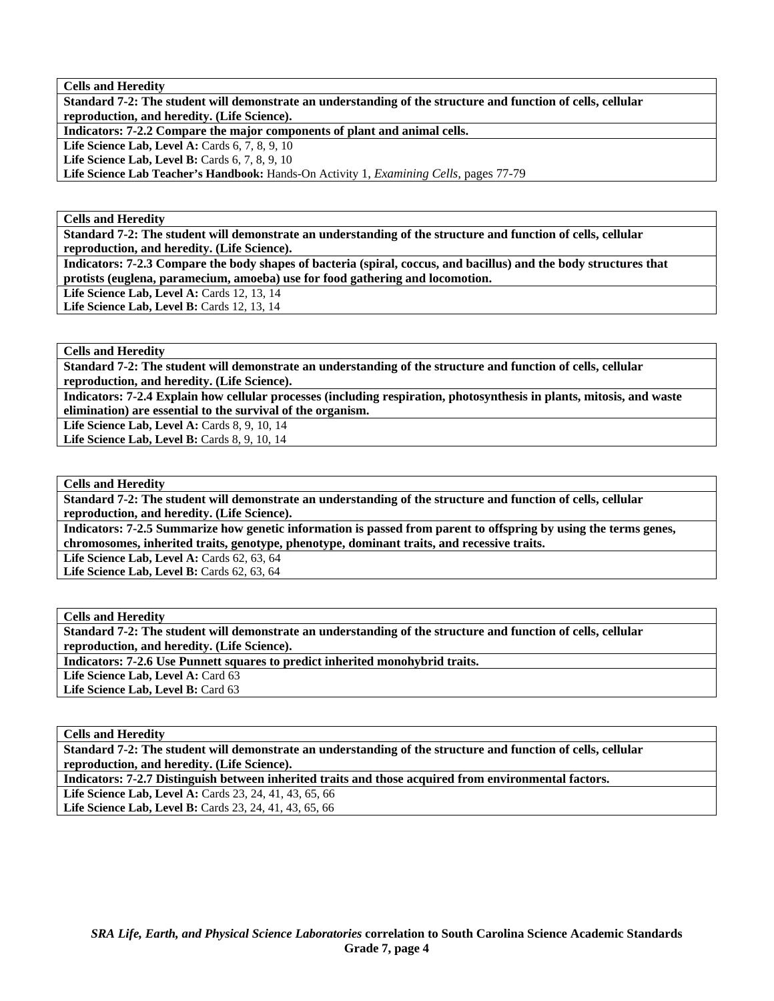**Cells and Heredity** 

**Standard 7-2: The student will demonstrate an understanding of the structure and function of cells, cellular reproduction, and heredity. (Life Science).** 

**Indicators: 7-2.2 Compare the major components of plant and animal cells.** 

**Life Science Lab, Level A: Cards 6, 7, 8, 9, 10** 

**Life Science Lab, Level B:** Cards 6, 7, 8, 9, 10

**Life Science Lab Teacher's Handbook:** Hands-On Activity 1, *Examining Cells,* pages 77-79

**Cells and Heredity** 

**Standard 7-2: The student will demonstrate an understanding of the structure and function of cells, cellular reproduction, and heredity. (Life Science).** 

**Indicators: 7-2.3 Compare the body shapes of bacteria (spiral, coccus, and bacillus) and the body structures that protists (euglena, paramecium, amoeba) use for food gathering and locomotion.** 

Life Science Lab, Level A: Cards 12, 13, 14 Life Science Lab, Level B: Cards 12, 13, 14

**Cells and Heredity** 

**Standard 7-2: The student will demonstrate an understanding of the structure and function of cells, cellular reproduction, and heredity. (Life Science).** 

**Indicators: 7-2.4 Explain how cellular processes (including respiration, photosynthesis in plants, mitosis, and waste elimination) are essential to the survival of the organism.** 

Life Science Lab, Level A: Cards 8, 9, 10, 14

**Life Science Lab, Level B: Cards 8, 9, 10, 14** 

#### **Cells and Heredity**

**Standard 7-2: The student will demonstrate an understanding of the structure and function of cells, cellular reproduction, and heredity. (Life Science).** 

**Indicators: 7-2.5 Summarize how genetic information is passed from parent to offspring by using the terms genes, chromosomes, inherited traits, genotype, phenotype, dominant traits, and recessive traits.** 

**Life Science Lab, Level A: Cards 62, 63, 64** 

**Life Science Lab, Level B: Cards 62, 63, 64** 

#### **Cells and Heredity**

**Standard 7-2: The student will demonstrate an understanding of the structure and function of cells, cellular reproduction, and heredity. (Life Science).** 

**Indicators: 7-2.6 Use Punnett squares to predict inherited monohybrid traits.** 

Life Science Lab, Level A: Card 63

Life Science Lab, Level B: Card 63

## **Cells and Heredity**

**Standard 7-2: The student will demonstrate an understanding of the structure and function of cells, cellular reproduction, and heredity. (Life Science).** 

**Indicators: 7-2.7 Distinguish between inherited traits and those acquired from environmental factors.** 

**Life Science Lab, Level A:** Cards 23, 24, 41, 43, 65, 66 Life Science Lab, Level B: Cards 23, 24, 41, 43, 65, 66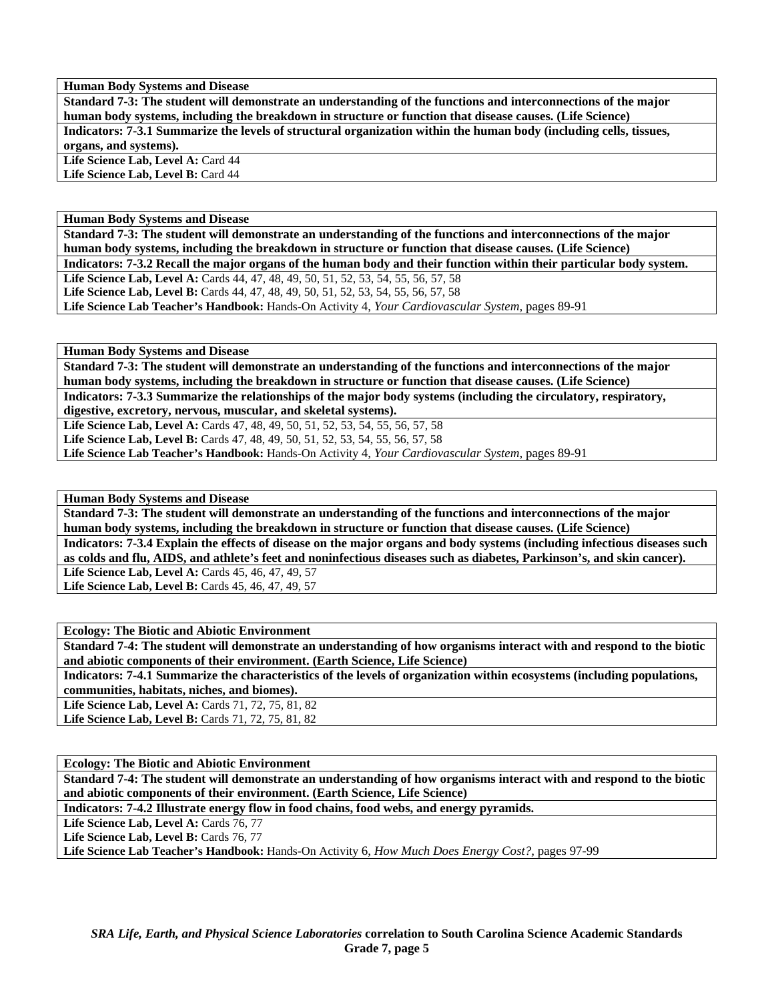**Human Body Systems and Disease** 

**Standard 7-3: The student will demonstrate an understanding of the functions and interconnections of the major human body systems, including the breakdown in structure or function that disease causes. (Life Science) Indicators: 7-3.1 Summarize the levels of structural organization within the human body (including cells, tissues, organs, and systems).**  Life Science Lab, Level A: Card 44

Life Science Lab, Level B: Card 44

**Human Body Systems and Disease** 

**Standard 7-3: The student will demonstrate an understanding of the functions and interconnections of the major human body systems, including the breakdown in structure or function that disease causes. (Life Science) Indicators: 7-3.2 Recall the major organs of the human body and their function within their particular body system. Life Science Lab, Level A:** Cards 44, 47, 48, 49, 50, 51, 52, 53, 54, 55, 56, 57, 58 **Life Science Lab, Level B:** Cards 44, 47, 48, 49, 50, 51, 52, 53, 54, 55, 56, 57, 58 **Life Science Lab Teacher's Handbook:** Hands-On Activity 4, *Your Cardiovascular System,* pages 89-91

**Human Body Systems and Disease** 

**Standard 7-3: The student will demonstrate an understanding of the functions and interconnections of the major human body systems, including the breakdown in structure or function that disease causes. (Life Science)** 

**Indicators: 7-3.3 Summarize the relationships of the major body systems (including the circulatory, respiratory, digestive, excretory, nervous, muscular, and skeletal systems).** 

Life Science Lab, Level A: Cards 47, 48, 49, 50, 51, 52, 53, 54, 55, 56, 57, 58

**Life Science Lab, Level B:** Cards 47, 48, 49, 50, 51, 52, 53, 54, 55, 56, 57, 58

**Life Science Lab Teacher's Handbook:** Hands-On Activity 4, *Your Cardiovascular System,* pages 89-91

**Human Body Systems and Disease** 

**Standard 7-3: The student will demonstrate an understanding of the functions and interconnections of the major human body systems, including the breakdown in structure or function that disease causes. (Life Science) Indicators: 7-3.4 Explain the effects of disease on the major organs and body systems (including infectious diseases such as colds and flu, AIDS, and athlete's feet and noninfectious diseases such as diabetes, Parkinson's, and skin cancer).**  Life Science Lab, Level A: Cards 45, 46, 47, 49, 57 **Life Science Lab, Level B: Cards 45, 46, 47, 49, 57** 

**Ecology: The Biotic and Abiotic Environment** 

**Standard 7-4: The student will demonstrate an understanding of how organisms interact with and respond to the biotic and abiotic components of their environment. (Earth Science, Life Science)** 

**Indicators: 7-4.1 Summarize the characteristics of the levels of organization within ecosystems (including populations, communities, habitats, niches, and biomes).** 

**Life Science Lab, Level A: Cards 71, 72, 75, 81, 82** Life Science Lab, Level B: Cards 71, 72, 75, 81, 82

**Ecology: The Biotic and Abiotic Environment** 

**Standard 7-4: The student will demonstrate an understanding of how organisms interact with and respond to the biotic and abiotic components of their environment. (Earth Science, Life Science)** 

**Indicators: 7-4.2 Illustrate energy flow in food chains, food webs, and energy pyramids.** 

Life Science Lab, Level A: Cards 76, 77

Life Science Lab, Level B: Cards 76, 77

**Life Science Lab Teacher's Handbook:** Hands-On Activity 6, *How Much Does Energy Cost?,* pages 97-99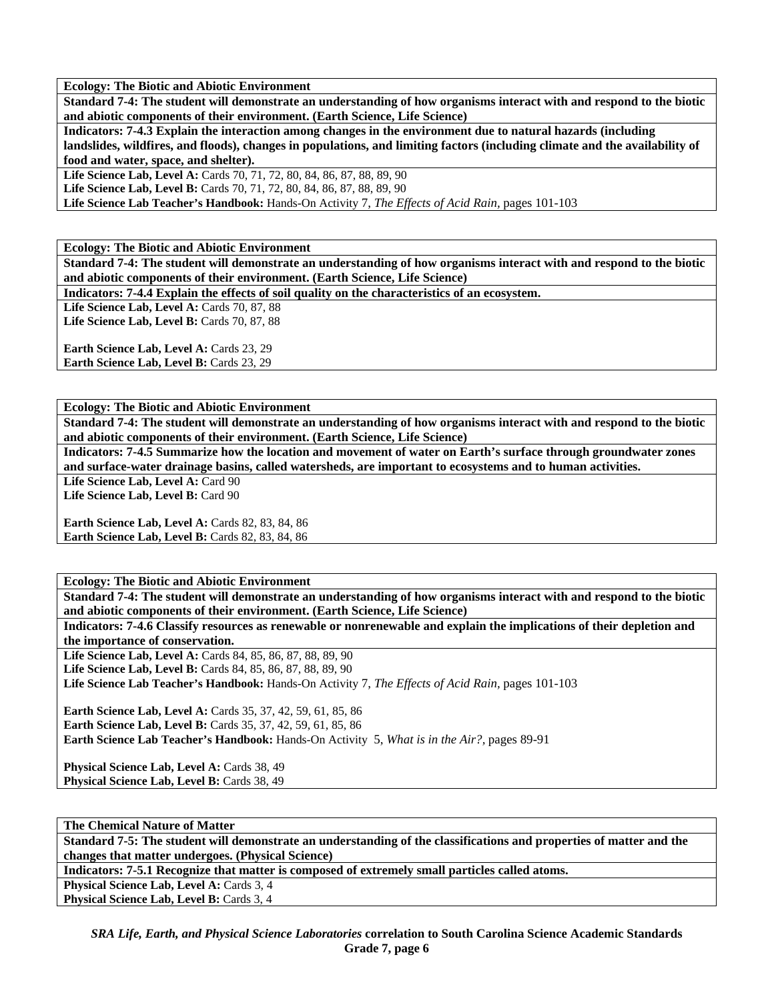**Ecology: The Biotic and Abiotic Environment** 

**Standard 7-4: The student will demonstrate an understanding of how organisms interact with and respond to the biotic and abiotic components of their environment. (Earth Science, Life Science)** 

**Indicators: 7-4.3 Explain the interaction among changes in the environment due to natural hazards (including landslides, wildfires, and floods), changes in populations, and limiting factors (including climate and the availability of food and water, space, and shelter).** 

Life Science Lab, Level A: Cards 70, 71, 72, 80, 84, 86, 87, 88, 89, 90 Life Science Lab, Level B: Cards 70, 71, 72, 80, 84, 86, 87, 88, 89, 90

**Life Science Lab Teacher's Handbook:** Hands-On Activity 7, *The Effects of Acid Rain,* pages 101-103

**Ecology: The Biotic and Abiotic Environment** 

**Standard 7-4: The student will demonstrate an understanding of how organisms interact with and respond to the biotic and abiotic components of their environment. (Earth Science, Life Science)** 

**Indicators: 7-4.4 Explain the effects of soil quality on the characteristics of an ecosystem.** 

Life Science Lab, Level A: Cards 70, 87, 88 Life Science Lab, Level B: Cards 70, 87, 88

Earth Science Lab, Level A: Cards 23, 29 Earth Science Lab, Level B: Cards 23, 29

**Ecology: The Biotic and Abiotic Environment** 

**Standard 7-4: The student will demonstrate an understanding of how organisms interact with and respond to the biotic and abiotic components of their environment. (Earth Science, Life Science)** 

**Indicators: 7-4.5 Summarize how the location and movement of water on Earth's surface through groundwater zones and surface-water drainage basins, called watersheds, are important to ecosystems and to human activities.** 

Life Science Lab, Level A: Card 90

Life Science Lab, Level B: Card 90

**Earth Science Lab, Level A: Cards 82, 83, 84, 86 Earth Science Lab, Level B: Cards 82, 83, 84, 86** 

**Ecology: The Biotic and Abiotic Environment** 

**Standard 7-4: The student will demonstrate an understanding of how organisms interact with and respond to the biotic and abiotic components of their environment. (Earth Science, Life Science)** 

**Indicators: 7-4.6 Classify resources as renewable or nonrenewable and explain the implications of their depletion and the importance of conservation.** 

**Life Science Lab, Level A:** Cards 84, 85, 86, 87, 88, 89, 90 Life Science Lab, Level B: Cards 84, 85, 86, 87, 88, 89, 90 **Life Science Lab Teacher's Handbook:** Hands-On Activity 7, *The Effects of Acid Rain,* pages 101-103

**Earth Science Lab, Level A:** Cards 35, 37, 42, 59, 61, 85, 86 **Earth Science Lab, Level B:** Cards 35, 37, 42, 59, 61, 85, 86 **Earth Science Lab Teacher's Handbook:** Hands-On Activity 5, *What is in the Air?,* pages 89-91

**Physical Science Lab, Level A: Cards 38, 49** Physical Science Lab, Level B: Cards 38, 49

**The Chemical Nature of Matter Standard 7-5: The student will demonstrate an understanding of the classifications and properties of matter and the changes that matter undergoes. (Physical Science) Indicators: 7-5.1 Recognize that matter is composed of extremely small particles called atoms.** 

**Physical Science Lab, Level A: Cards 3, 4** 

Physical Science Lab, Level B: Cards 3, 4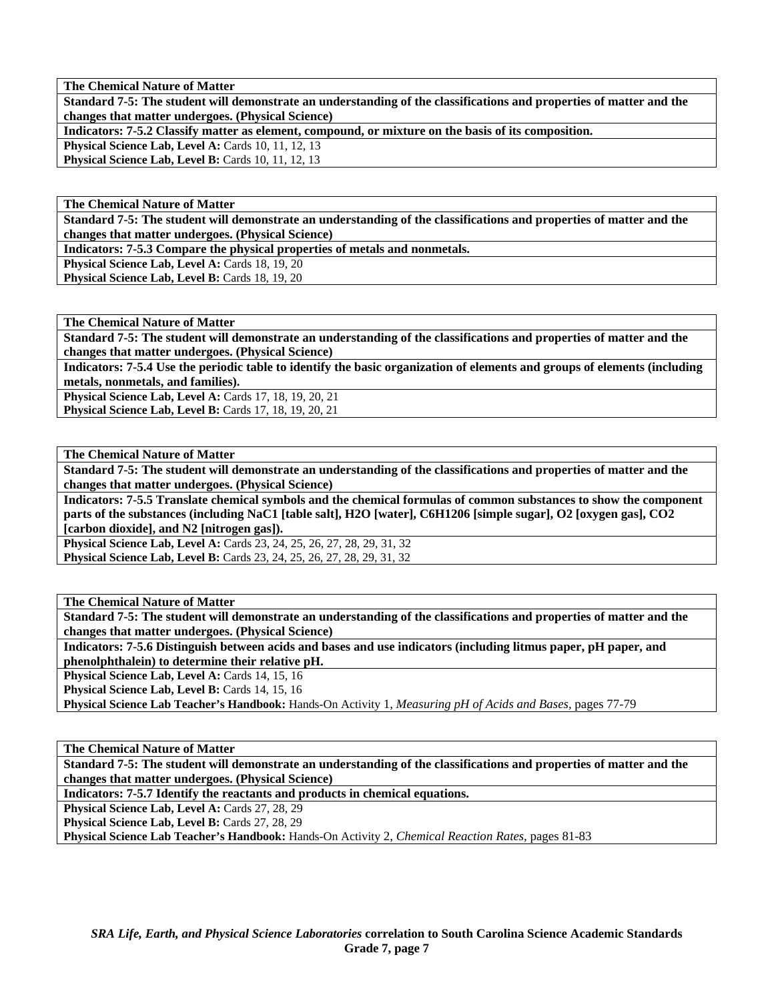**The Chemical Nature of Matter** 

**Standard 7-5: The student will demonstrate an understanding of the classifications and properties of matter and the changes that matter undergoes. (Physical Science)** 

**Indicators: 7-5.2 Classify matter as element, compound, or mixture on the basis of its composition.** 

**Physical Science Lab, Level A: Cards 10, 11, 12, 13** 

**Physical Science Lab, Level B: Cards 10, 11, 12, 13** 

**The Chemical Nature of Matter** 

**Standard 7-5: The student will demonstrate an understanding of the classifications and properties of matter and the changes that matter undergoes. (Physical Science)** 

**Indicators: 7-5.3 Compare the physical properties of metals and nonmetals.** 

Physical Science Lab, Level A: Cards 18, 19, 20

Physical Science Lab, Level B: Cards 18, 19, 20

**The Chemical Nature of Matter** 

**Standard 7-5: The student will demonstrate an understanding of the classifications and properties of matter and the changes that matter undergoes. (Physical Science)** 

**Indicators: 7-5.4 Use the periodic table to identify the basic organization of elements and groups of elements (including metals, nonmetals, and families).** 

**Physical Science Lab, Level A: Cards 17, 18, 19, 20, 21 Physical Science Lab, Level B:** Cards 17, 18, 19, 20, 21

**The Chemical Nature of Matter** 

**Standard 7-5: The student will demonstrate an understanding of the classifications and properties of matter and the changes that matter undergoes. (Physical Science)** 

**Indicators: 7-5.5 Translate chemical symbols and the chemical formulas of common substances to show the component parts of the substances (including NaC1 [table salt], H2O [water], C6H1206 [simple sugar], O2 [oxygen gas], CO2 [carbon dioxide], and N2 [nitrogen gas]).** 

**Physical Science Lab, Level A: Cards 23, 24, 25, 26, 27, 28, 29, 31, 32 Physical Science Lab, Level B:** Cards 23, 24, 25, 26, 27, 28, 29, 31, 32

**The Chemical Nature of Matter** 

**Standard 7-5: The student will demonstrate an understanding of the classifications and properties of matter and the changes that matter undergoes. (Physical Science)** 

**Indicators: 7-5.6 Distinguish between acids and bases and use indicators (including litmus paper, pH paper, and phenolphthalein) to determine their relative pH.** 

Physical Science Lab, Level A: Cards 14, 15, 16

Physical Science Lab, Level B: Cards 14, 15, 16

**Physical Science Lab Teacher's Handbook:** Hands-On Activity 1, *Measuring pH of Acids and Bases,* pages 77-79

**The Chemical Nature of Matter** 

**Standard 7-5: The student will demonstrate an understanding of the classifications and properties of matter and the changes that matter undergoes. (Physical Science)** 

**Indicators: 7-5.7 Identify the reactants and products in chemical equations.** 

Physical Science Lab, Level A: Cards 27, 28, 29

Physical Science Lab, Level B: Cards 27, 28, 29

**Physical Science Lab Teacher's Handbook:** Hands-On Activity 2, *Chemical Reaction Rates,* pages 81-83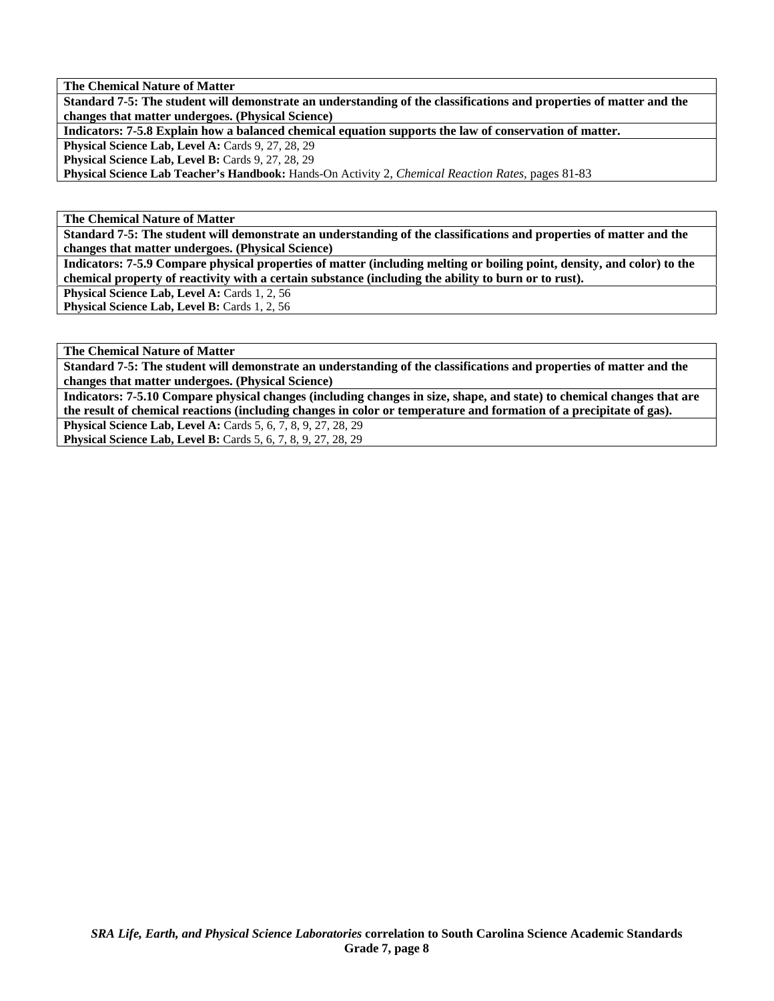**The Chemical Nature of Matter** 

**Standard 7-5: The student will demonstrate an understanding of the classifications and properties of matter and the changes that matter undergoes. (Physical Science)** 

**Indicators: 7-5.8 Explain how a balanced chemical equation supports the law of conservation of matter.** 

Physical Science Lab, Level A: Cards 9, 27, 28, 29

Physical Science Lab, Level B: Cards 9, 27, 28, 29

**Physical Science Lab Teacher's Handbook:** Hands-On Activity 2, *Chemical Reaction Rates,* pages 81-83

**The Chemical Nature of Matter** 

**Standard 7-5: The student will demonstrate an understanding of the classifications and properties of matter and the changes that matter undergoes. (Physical Science)** 

**Indicators: 7-5.9 Compare physical properties of matter (including melting or boiling point, density, and color) to the chemical property of reactivity with a certain substance (including the ability to burn or to rust).** 

Physical Science Lab, Level A: Cards 1, 2, 56 Physical Science Lab, Level B: Cards 1, 2, 56

**The Chemical Nature of Matter** 

**Standard 7-5: The student will demonstrate an understanding of the classifications and properties of matter and the changes that matter undergoes. (Physical Science)** 

**Indicators: 7-5.10 Compare physical changes (including changes in size, shape, and state) to chemical changes that are the result of chemical reactions (including changes in color or temperature and formation of a precipitate of gas).** 

**Physical Science Lab, Level A:** Cards 5, 6, 7, 8, 9, 27, 28, 29 **Physical Science Lab, Level B:** Cards 5, 6, 7, 8, 9, 27, 28, 29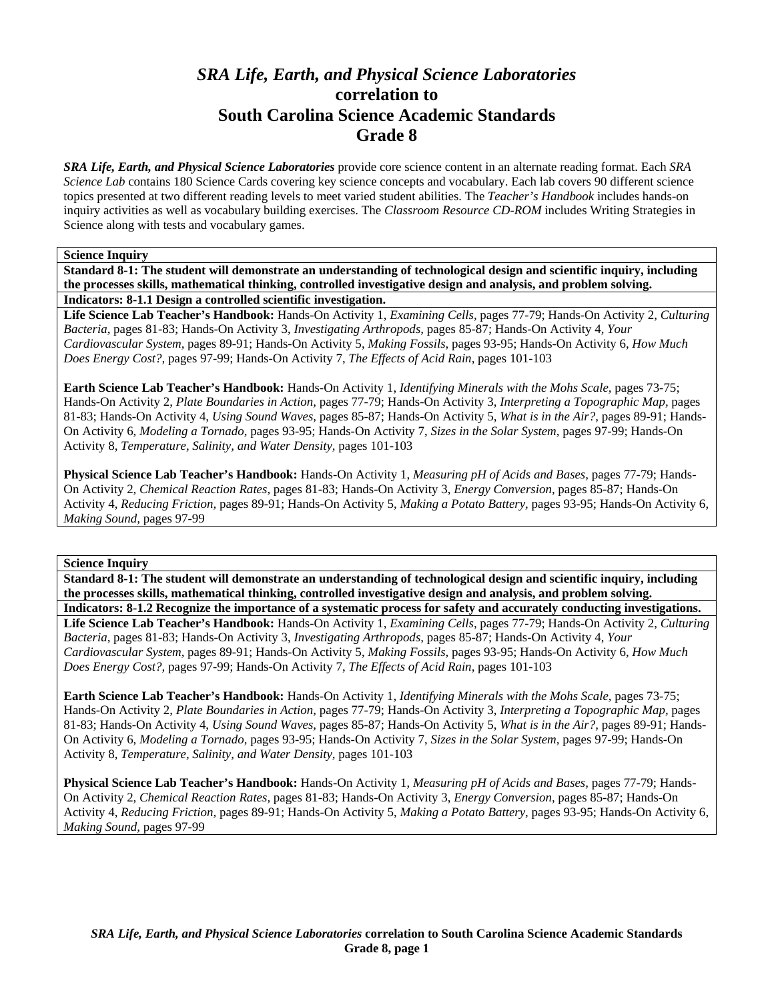# *SRA Life, Earth, and Physical Science Laboratories*  **correlation to South Carolina Science Academic Standards Grade 8**

*SRA Life, Earth, and Physical Science Laboratories* provide core science content in an alternate reading format. Each *SRA Science Lab* contains 180 Science Cards covering key science concepts and vocabulary. Each lab covers 90 different science topics presented at two different reading levels to meet varied student abilities. The *Teacher's Handbook* includes hands-on inquiry activities as well as vocabulary building exercises. The *Classroom Resource CD-ROM* includes Writing Strategies in Science along with tests and vocabulary games.

# **Science Inquiry**

**Standard 8-1: The student will demonstrate an understanding of technological design and scientific inquiry, including the processes skills, mathematical thinking, controlled investigative design and analysis, and problem solving. Indicators: 8-1.1 Design a controlled scientific investigation.** 

**Life Science Lab Teacher's Handbook:** Hands-On Activity 1, *Examining Cells,* pages 77-79; Hands-On Activity 2, *Culturing Bacteria,* pages 81-83; Hands-On Activity 3, *Investigating Arthropods,* pages 85-87; Hands-On Activity 4, *Your Cardiovascular System,* pages 89-91; Hands-On Activity 5, *Making Fossils,* pages 93-95; Hands-On Activity 6, *How Much Does Energy Cost?,* pages 97-99; Hands-On Activity 7, *The Effects of Acid Rain,* pages 101-103

**Earth Science Lab Teacher's Handbook:** Hands-On Activity 1, *Identifying Minerals with the Mohs Scale,* pages 73-75; Hands-On Activity 2, *Plate Boundaries in Action,* pages 77-79; Hands-On Activity 3, *Interpreting a Topographic Map,* pages 81-83; Hands-On Activity 4, *Using Sound Waves,* pages 85-87; Hands-On Activity 5, *What is in the Air?,* pages 89-91; Hands-On Activity 6, *Modeling a Tornado,* pages 93-95; Hands-On Activity 7, *Sizes in the Solar System,* pages 97-99; Hands-On Activity 8, *Temperature, Salinity, and Water Density,* pages 101-103

**Physical Science Lab Teacher's Handbook:** Hands-On Activity 1, *Measuring pH of Acids and Bases,* pages 77-79; Hands-On Activity 2, *Chemical Reaction Rates,* pages 81-83; Hands-On Activity 3, *Energy Conversion,* pages 85-87; Hands-On Activity 4, *Reducing Friction,* pages 89-91; Hands-On Activity 5, *Making a Potato Battery,* pages 93-95; Hands-On Activity 6, *Making Sound,* pages 97-99

## **Science Inquiry**

**Standard 8-1: The student will demonstrate an understanding of technological design and scientific inquiry, including the processes skills, mathematical thinking, controlled investigative design and analysis, and problem solving. Indicators: 8-1.2 Recognize the importance of a systematic process for safety and accurately conducting investigations.** 

**Life Science Lab Teacher's Handbook:** Hands-On Activity 1, *Examining Cells,* pages 77-79; Hands-On Activity 2, *Culturing Bacteria,* pages 81-83; Hands-On Activity 3, *Investigating Arthropods,* pages 85-87; Hands-On Activity 4, *Your Cardiovascular System,* pages 89-91; Hands-On Activity 5, *Making Fossils,* pages 93-95; Hands-On Activity 6, *How Much Does Energy Cost?,* pages 97-99; Hands-On Activity 7, *The Effects of Acid Rain,* pages 101-103

**Earth Science Lab Teacher's Handbook:** Hands-On Activity 1, *Identifying Minerals with the Mohs Scale,* pages 73-75; Hands-On Activity 2, *Plate Boundaries in Action,* pages 77-79; Hands-On Activity 3, *Interpreting a Topographic Map,* pages 81-83; Hands-On Activity 4, *Using Sound Waves,* pages 85-87; Hands-On Activity 5, *What is in the Air?,* pages 89-91; Hands-On Activity 6, *Modeling a Tornado,* pages 93-95; Hands-On Activity 7, *Sizes in the Solar System,* pages 97-99; Hands-On Activity 8, *Temperature, Salinity, and Water Density,* pages 101-103

**Physical Science Lab Teacher's Handbook:** Hands-On Activity 1, *Measuring pH of Acids and Bases,* pages 77-79; Hands-On Activity 2, *Chemical Reaction Rates,* pages 81-83; Hands-On Activity 3, *Energy Conversion,* pages 85-87; Hands-On Activity 4, *Reducing Friction,* pages 89-91; Hands-On Activity 5, *Making a Potato Battery,* pages 93-95; Hands-On Activity 6, *Making Sound,* pages 97-99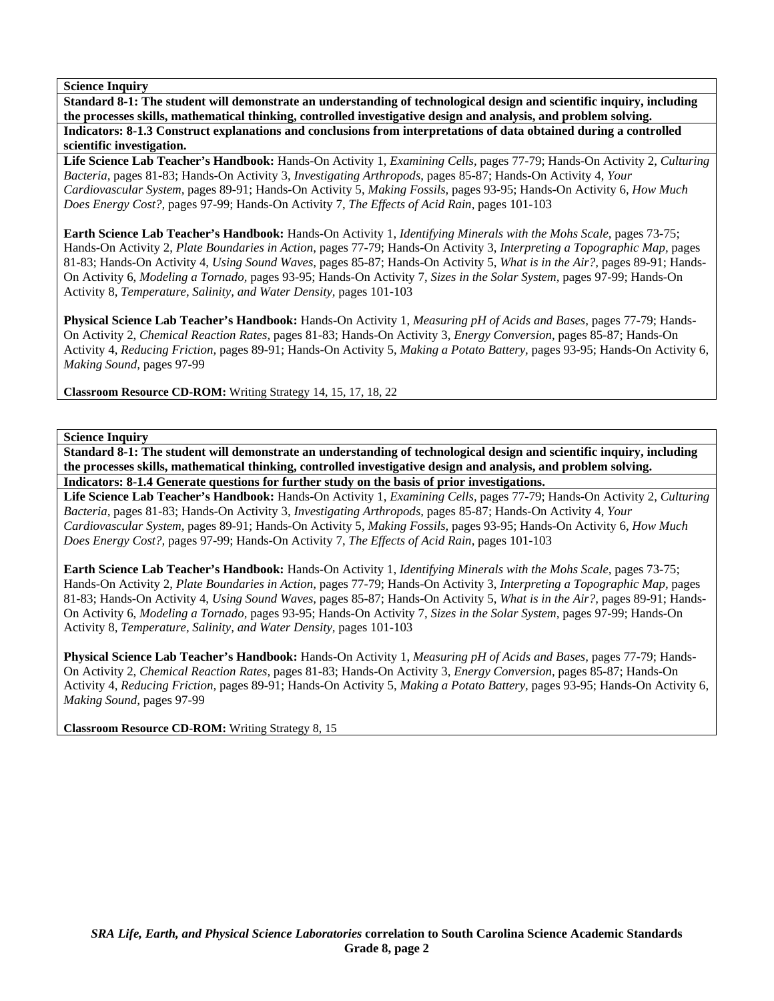**Standard 8-1: The student will demonstrate an understanding of technological design and scientific inquiry, including the processes skills, mathematical thinking, controlled investigative design and analysis, and problem solving. Indicators: 8-1.3 Construct explanations and conclusions from interpretations of data obtained during a controlled scientific investigation.** 

**Life Science Lab Teacher's Handbook:** Hands-On Activity 1, *Examining Cells,* pages 77-79; Hands-On Activity 2, *Culturing Bacteria,* pages 81-83; Hands-On Activity 3, *Investigating Arthropods,* pages 85-87; Hands-On Activity 4, *Your Cardiovascular System,* pages 89-91; Hands-On Activity 5, *Making Fossils,* pages 93-95; Hands-On Activity 6, *How Much Does Energy Cost?,* pages 97-99; Hands-On Activity 7, *The Effects of Acid Rain,* pages 101-103

**Earth Science Lab Teacher's Handbook:** Hands-On Activity 1, *Identifying Minerals with the Mohs Scale,* pages 73-75; Hands-On Activity 2, *Plate Boundaries in Action,* pages 77-79; Hands-On Activity 3, *Interpreting a Topographic Map,* pages 81-83; Hands-On Activity 4, *Using Sound Waves,* pages 85-87; Hands-On Activity 5, *What is in the Air?,* pages 89-91; Hands-On Activity 6, *Modeling a Tornado,* pages 93-95; Hands-On Activity 7, *Sizes in the Solar System,* pages 97-99; Hands-On Activity 8, *Temperature, Salinity, and Water Density,* pages 101-103

**Physical Science Lab Teacher's Handbook:** Hands-On Activity 1, *Measuring pH of Acids and Bases,* pages 77-79; Hands-On Activity 2, *Chemical Reaction Rates,* pages 81-83; Hands-On Activity 3, *Energy Conversion,* pages 85-87; Hands-On Activity 4, *Reducing Friction,* pages 89-91; Hands-On Activity 5, *Making a Potato Battery,* pages 93-95; Hands-On Activity 6, *Making Sound,* pages 97-99

**Classroom Resource CD-ROM:** Writing Strategy 14, 15, 17, 18, 22

**Science Inquiry** 

**Standard 8-1: The student will demonstrate an understanding of technological design and scientific inquiry, including the processes skills, mathematical thinking, controlled investigative design and analysis, and problem solving. Indicators: 8-1.4 Generate questions for further study on the basis of prior investigations.** 

**Life Science Lab Teacher's Handbook:** Hands-On Activity 1, *Examining Cells,* pages 77-79; Hands-On Activity 2, *Culturing Bacteria,* pages 81-83; Hands-On Activity 3, *Investigating Arthropods,* pages 85-87; Hands-On Activity 4, *Your Cardiovascular System,* pages 89-91; Hands-On Activity 5, *Making Fossils,* pages 93-95; Hands-On Activity 6, *How Much Does Energy Cost?,* pages 97-99; Hands-On Activity 7, *The Effects of Acid Rain,* pages 101-103

**Earth Science Lab Teacher's Handbook:** Hands-On Activity 1, *Identifying Minerals with the Mohs Scale,* pages 73-75; Hands-On Activity 2, *Plate Boundaries in Action,* pages 77-79; Hands-On Activity 3, *Interpreting a Topographic Map,* pages 81-83; Hands-On Activity 4, *Using Sound Waves,* pages 85-87; Hands-On Activity 5, *What is in the Air?,* pages 89-91; Hands-On Activity 6, *Modeling a Tornado,* pages 93-95; Hands-On Activity 7, *Sizes in the Solar System,* pages 97-99; Hands-On Activity 8, *Temperature, Salinity, and Water Density,* pages 101-103

**Physical Science Lab Teacher's Handbook:** Hands-On Activity 1, *Measuring pH of Acids and Bases,* pages 77-79; Hands-On Activity 2, *Chemical Reaction Rates,* pages 81-83; Hands-On Activity 3, *Energy Conversion,* pages 85-87; Hands-On Activity 4, *Reducing Friction,* pages 89-91; Hands-On Activity 5, *Making a Potato Battery,* pages 93-95; Hands-On Activity 6, *Making Sound,* pages 97-99

**Classroom Resource CD-ROM:** Writing Strategy 8, 15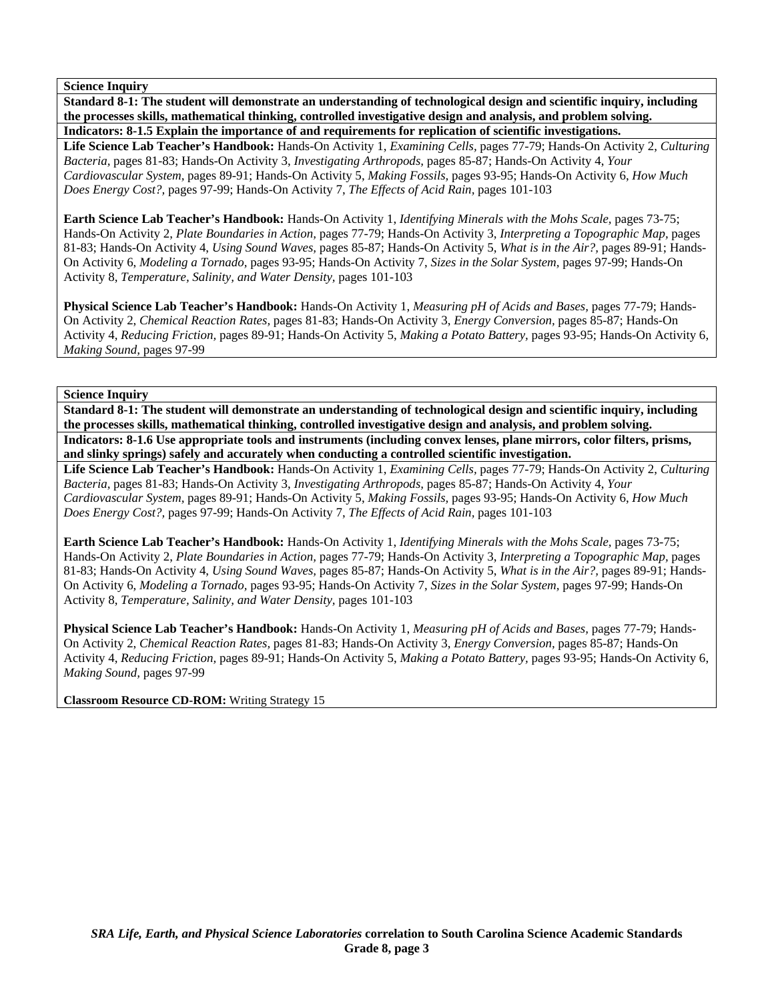**Standard 8-1: The student will demonstrate an understanding of technological design and scientific inquiry, including the processes skills, mathematical thinking, controlled investigative design and analysis, and problem solving. Indicators: 8-1.5 Explain the importance of and requirements for replication of scientific investigations.** 

**Life Science Lab Teacher's Handbook:** Hands-On Activity 1, *Examining Cells,* pages 77-79; Hands-On Activity 2, *Culturing Bacteria,* pages 81-83; Hands-On Activity 3, *Investigating Arthropods,* pages 85-87; Hands-On Activity 4, *Your Cardiovascular System,* pages 89-91; Hands-On Activity 5, *Making Fossils,* pages 93-95; Hands-On Activity 6, *How Much Does Energy Cost?,* pages 97-99; Hands-On Activity 7, *The Effects of Acid Rain,* pages 101-103

**Earth Science Lab Teacher's Handbook:** Hands-On Activity 1, *Identifying Minerals with the Mohs Scale,* pages 73-75; Hands-On Activity 2, *Plate Boundaries in Action,* pages 77-79; Hands-On Activity 3, *Interpreting a Topographic Map,* pages 81-83; Hands-On Activity 4, *Using Sound Waves,* pages 85-87; Hands-On Activity 5, *What is in the Air?,* pages 89-91; Hands-On Activity 6, *Modeling a Tornado,* pages 93-95; Hands-On Activity 7, *Sizes in the Solar System,* pages 97-99; Hands-On Activity 8, *Temperature, Salinity, and Water Density,* pages 101-103

**Physical Science Lab Teacher's Handbook:** Hands-On Activity 1, *Measuring pH of Acids and Bases,* pages 77-79; Hands-On Activity 2, *Chemical Reaction Rates,* pages 81-83; Hands-On Activity 3, *Energy Conversion,* pages 85-87; Hands-On Activity 4, *Reducing Friction,* pages 89-91; Hands-On Activity 5, *Making a Potato Battery,* pages 93-95; Hands-On Activity 6, *Making Sound,* pages 97-99

**Science Inquiry** 

**Standard 8-1: The student will demonstrate an understanding of technological design and scientific inquiry, including the processes skills, mathematical thinking, controlled investigative design and analysis, and problem solving. Indicators: 8-1.6 Use appropriate tools and instruments (including convex lenses, plane mirrors, color filters, prisms, and slinky springs) safely and accurately when conducting a controlled scientific investigation.** 

**Life Science Lab Teacher's Handbook:** Hands-On Activity 1, *Examining Cells,* pages 77-79; Hands-On Activity 2, *Culturing Bacteria,* pages 81-83; Hands-On Activity 3, *Investigating Arthropods,* pages 85-87; Hands-On Activity 4, *Your Cardiovascular System,* pages 89-91; Hands-On Activity 5, *Making Fossils,* pages 93-95; Hands-On Activity 6, *How Much Does Energy Cost?,* pages 97-99; Hands-On Activity 7, *The Effects of Acid Rain,* pages 101-103

**Earth Science Lab Teacher's Handbook:** Hands-On Activity 1, *Identifying Minerals with the Mohs Scale,* pages 73-75; Hands-On Activity 2, *Plate Boundaries in Action,* pages 77-79; Hands-On Activity 3, *Interpreting a Topographic Map,* pages 81-83; Hands-On Activity 4, *Using Sound Waves,* pages 85-87; Hands-On Activity 5, *What is in the Air?,* pages 89-91; Hands-On Activity 6, *Modeling a Tornado,* pages 93-95; Hands-On Activity 7, *Sizes in the Solar System,* pages 97-99; Hands-On Activity 8, *Temperature, Salinity, and Water Density,* pages 101-103

**Physical Science Lab Teacher's Handbook:** Hands-On Activity 1, *Measuring pH of Acids and Bases,* pages 77-79; Hands-On Activity 2, *Chemical Reaction Rates,* pages 81-83; Hands-On Activity 3, *Energy Conversion,* pages 85-87; Hands-On Activity 4, *Reducing Friction,* pages 89-91; Hands-On Activity 5, *Making a Potato Battery,* pages 93-95; Hands-On Activity 6, *Making Sound,* pages 97-99

**Classroom Resource CD-ROM:** Writing Strategy 15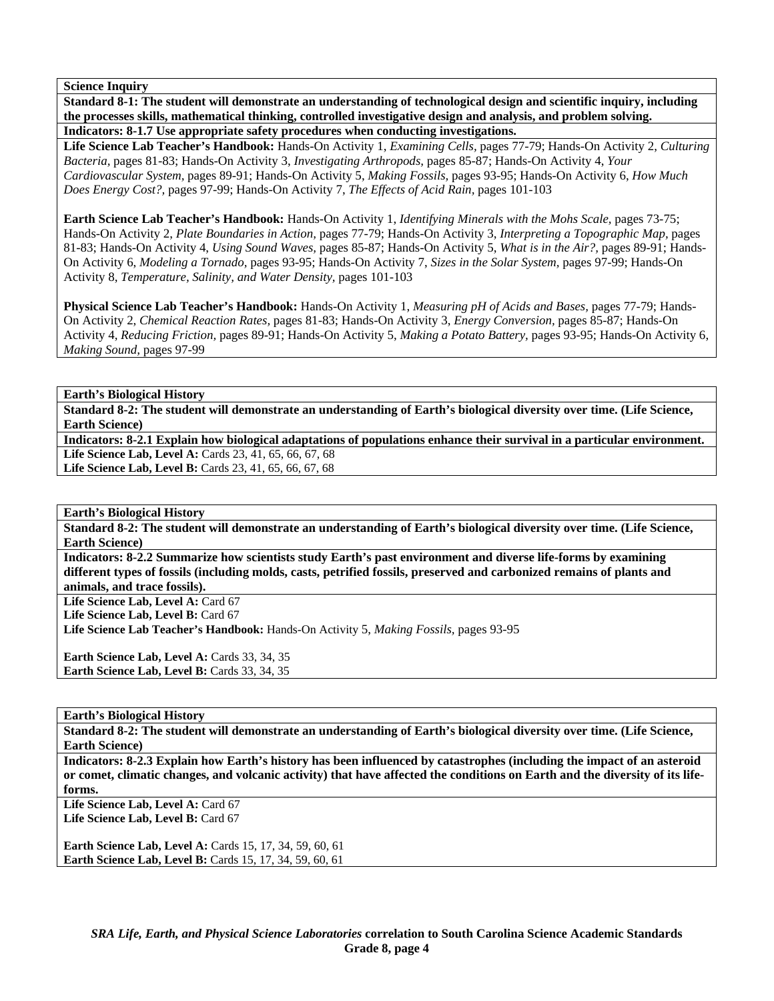**Standard 8-1: The student will demonstrate an understanding of technological design and scientific inquiry, including the processes skills, mathematical thinking, controlled investigative design and analysis, and problem solving. Indicators: 8-1.7 Use appropriate safety procedures when conducting investigations.** 

**Life Science Lab Teacher's Handbook:** Hands-On Activity 1, *Examining Cells,* pages 77-79; Hands-On Activity 2, *Culturing Bacteria,* pages 81-83; Hands-On Activity 3, *Investigating Arthropods,* pages 85-87; Hands-On Activity 4, *Your Cardiovascular System,* pages 89-91; Hands-On Activity 5, *Making Fossils,* pages 93-95; Hands-On Activity 6, *How Much Does Energy Cost?,* pages 97-99; Hands-On Activity 7, *The Effects of Acid Rain,* pages 101-103

**Earth Science Lab Teacher's Handbook:** Hands-On Activity 1, *Identifying Minerals with the Mohs Scale,* pages 73-75; Hands-On Activity 2, *Plate Boundaries in Action,* pages 77-79; Hands-On Activity 3, *Interpreting a Topographic Map,* pages 81-83; Hands-On Activity 4, *Using Sound Waves,* pages 85-87; Hands-On Activity 5, *What is in the Air?,* pages 89-91; Hands-On Activity 6, *Modeling a Tornado,* pages 93-95; Hands-On Activity 7, *Sizes in the Solar System,* pages 97-99; Hands-On Activity 8, *Temperature, Salinity, and Water Density,* pages 101-103

**Physical Science Lab Teacher's Handbook:** Hands-On Activity 1, *Measuring pH of Acids and Bases,* pages 77-79; Hands-On Activity 2, *Chemical Reaction Rates,* pages 81-83; Hands-On Activity 3, *Energy Conversion,* pages 85-87; Hands-On Activity 4, *Reducing Friction,* pages 89-91; Hands-On Activity 5, *Making a Potato Battery,* pages 93-95; Hands-On Activity 6, *Making Sound,* pages 97-99

**Earth's Biological History** 

**Standard 8-2: The student will demonstrate an understanding of Earth's biological diversity over time. (Life Science, Earth Science)** 

**Indicators: 8-2.1 Explain how biological adaptations of populations enhance their survival in a particular environment.**  Life Science Lab, Level A: Cards 23, 41, 65, 66, 67, 68 Life Science Lab, Level B: Cards 23, 41, 65, 66, 67, 68

**Earth's Biological History** 

**Standard 8-2: The student will demonstrate an understanding of Earth's biological diversity over time. (Life Science, Earth Science)** 

**Indicators: 8-2.2 Summarize how scientists study Earth's past environment and diverse life-forms by examining different types of fossils (including molds, casts, petrified fossils, preserved and carbonized remains of plants and animals, and trace fossils).** 

Life Science Lab, Level A: Card 67 **Life Science Lab, Level B:** Card 67

**Life Science Lab Teacher's Handbook:** Hands-On Activity 5, *Making Fossils,* pages 93-95

**Earth Science Lab, Level A: Cards 33, 34, 35 Earth Science Lab, Level B: Cards 33, 34, 35** 

**Earth's Biological History** 

**Standard 8-2: The student will demonstrate an understanding of Earth's biological diversity over time. (Life Science, Earth Science)** 

**Indicators: 8-2.3 Explain how Earth's history has been influenced by catastrophes (including the impact of an asteroid or comet, climatic changes, and volcanic activity) that have affected the conditions on Earth and the diversity of its lifeforms.** 

Life Science Lab, Level A: Card 67 Life Science Lab, Level B: Card 67

**Earth Science Lab, Level A:** Cards 15, 17, 34, 59, 60, 61 **Earth Science Lab, Level B:** Cards 15, 17, 34, 59, 60, 61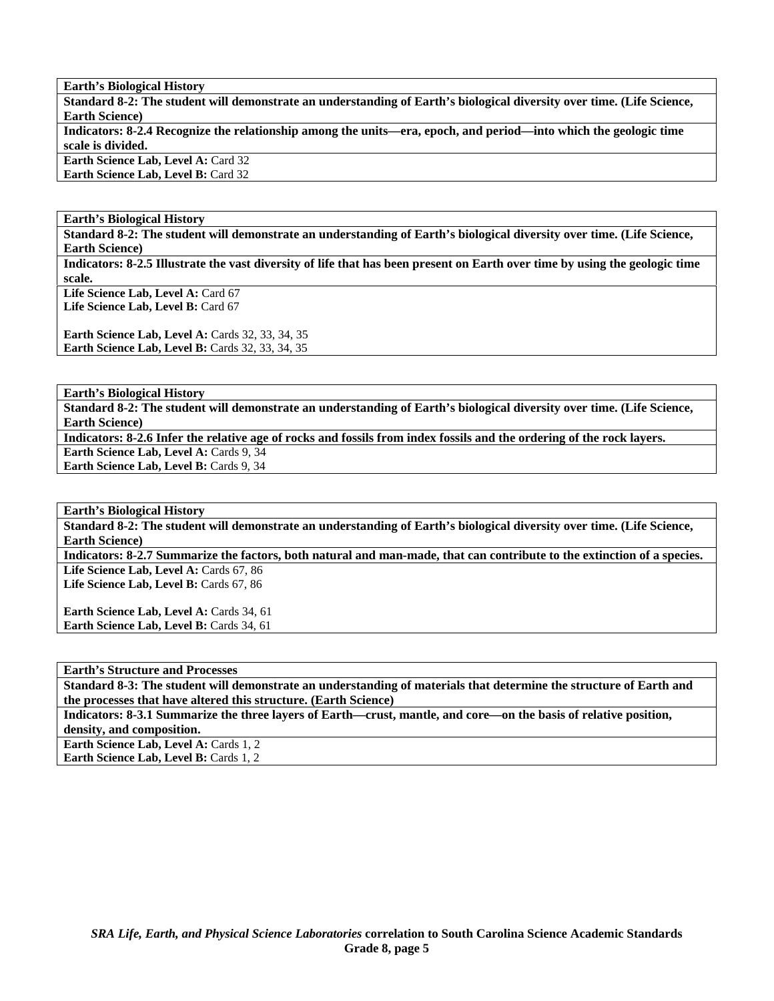**Earth's Biological History** 

**Standard 8-2: The student will demonstrate an understanding of Earth's biological diversity over time. (Life Science, Earth Science)** 

**Indicators: 8-2.4 Recognize the relationship among the units—era, epoch, and period—into which the geologic time scale is divided.** 

**Earth Science Lab, Level A: Card 32 Earth Science Lab, Level B:** Card 32

**Earth's Biological History** 

**Standard 8-2: The student will demonstrate an understanding of Earth's biological diversity over time. (Life Science, Earth Science)** 

**Indicators: 8-2.5 Illustrate the vast diversity of life that has been present on Earth over time by using the geologic time scale.** 

Life Science Lab, Level A: Card 67 Life Science Lab, Level B: Card 67

**Earth Science Lab, Level A: Cards 32, 33, 34, 35 Earth Science Lab, Level B: Cards 32, 33, 34, 35** 

**Earth's Biological History** 

**Standard 8-2: The student will demonstrate an understanding of Earth's biological diversity over time. (Life Science, Earth Science)** 

**Indicators: 8-2.6 Infer the relative age of rocks and fossils from index fossils and the ordering of the rock layers. Earth Science Lab, Level A: Cards 9, 34** 

Earth Science Lab, Level B: Cards 9, 34

**Earth's Biological History** 

**Standard 8-2: The student will demonstrate an understanding of Earth's biological diversity over time. (Life Science, Earth Science)** 

**Indicators: 8-2.7 Summarize the factors, both natural and man-made, that can contribute to the extinction of a species.**  Life Science Lab, Level A: Cards 67, 86 Life Science Lab, Level B: Cards 67, 86

Earth Science Lab, Level A: Cards 34, 61 Earth Science Lab, Level B: Cards 34, 61

**Earth's Structure and Processes** 

**Standard 8-3: The student will demonstrate an understanding of materials that determine the structure of Earth and the processes that have altered this structure. (Earth Science)** 

**Indicators: 8-3.1 Summarize the three layers of Earth—crust, mantle, and core—on the basis of relative position, density, and composition.** 

**Earth Science Lab, Level A: Cards 1, 2 Earth Science Lab, Level B: Cards 1, 2**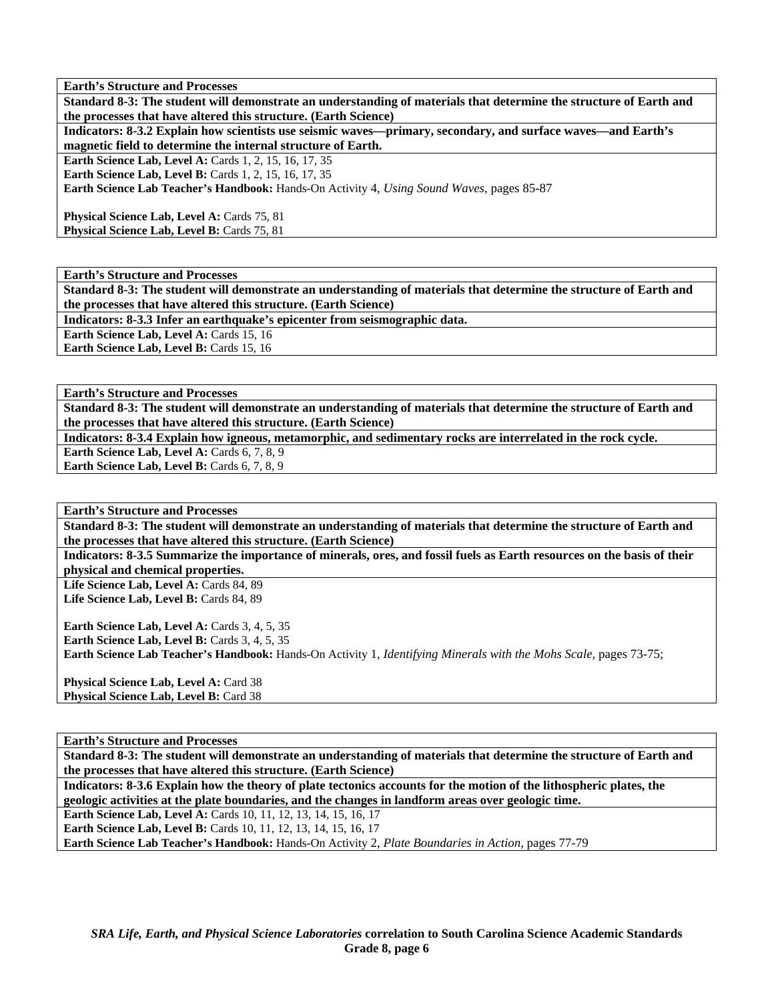**Earth's Structure and Processes** 

**Standard 8-3: The student will demonstrate an understanding of materials that determine the structure of Earth and the processes that have altered this structure. (Earth Science)** 

**Indicators: 8-3.2 Explain how scientists use seismic waves—primary, secondary, and surface waves—and Earth's magnetic field to determine the internal structure of Earth.** 

**Earth Science Lab, Level A: Cards 1, 2, 15, 16, 17, 35** 

**Earth Science Lab, Level B: Cards 1, 2, 15, 16, 17, 35** 

**Earth Science Lab Teacher's Handbook:** Hands-On Activity 4, *Using Sound Waves,* pages 85-87

**Physical Science Lab, Level A: Cards 75, 81** Physical Science Lab, Level B: Cards 75, 81

**Earth's Structure and Processes** 

**Standard 8-3: The student will demonstrate an understanding of materials that determine the structure of Earth and the processes that have altered this structure. (Earth Science)** 

**Indicators: 8-3.3 Infer an earthquake's epicenter from seismographic data.** 

Earth Science Lab, Level A: Cards 15, 16

Earth Science Lab, Level B: Cards 15, 16

**Earth's Structure and Processes** 

**Standard 8-3: The student will demonstrate an understanding of materials that determine the structure of Earth and the processes that have altered this structure. (Earth Science)** 

**Indicators: 8-3.4 Explain how igneous, metamorphic, and sedimentary rocks are interrelated in the rock cycle.** 

**Earth Science Lab, Level A: Cards 6, 7, 8, 9** Earth Science Lab, Level B: Cards 6, 7, 8, 9

**Earth's Structure and Processes** 

**Standard 8-3: The student will demonstrate an understanding of materials that determine the structure of Earth and the processes that have altered this structure. (Earth Science)** 

**Indicators: 8-3.5 Summarize the importance of minerals, ores, and fossil fuels as Earth resources on the basis of their physical and chemical properties.** 

Life Science Lab, Level A: Cards 84, 89 Life Science Lab, Level B: Cards 84, 89

**Earth Science Lab, Level A: Cards 3, 4, 5, 35 Earth Science Lab, Level B:** Cards 3, 4, 5, 35 **Earth Science Lab Teacher's Handbook:** Hands-On Activity 1, *Identifying Minerals with the Mohs Scale,* pages 73-75;

Physical Science Lab, Level A: Card 38 Physical Science Lab, Level B: Card 38

### **Earth's Structure and Processes**

**Standard 8-3: The student will demonstrate an understanding of materials that determine the structure of Earth and the processes that have altered this structure. (Earth Science)** 

**Indicators: 8-3.6 Explain how the theory of plate tectonics accounts for the motion of the lithospheric plates, the geologic activities at the plate boundaries, and the changes in landform areas over geologic time.** 

**Earth Science Lab, Level A: Cards 10, 11, 12, 13, 14, 15, 16, 17 Earth Science Lab, Level B:** Cards 10, 11, 12, 13, 14, 15, 16, 17

**Earth Science Lab Teacher's Handbook:** Hands-On Activity 2, *Plate Boundaries in Action,* pages 77-79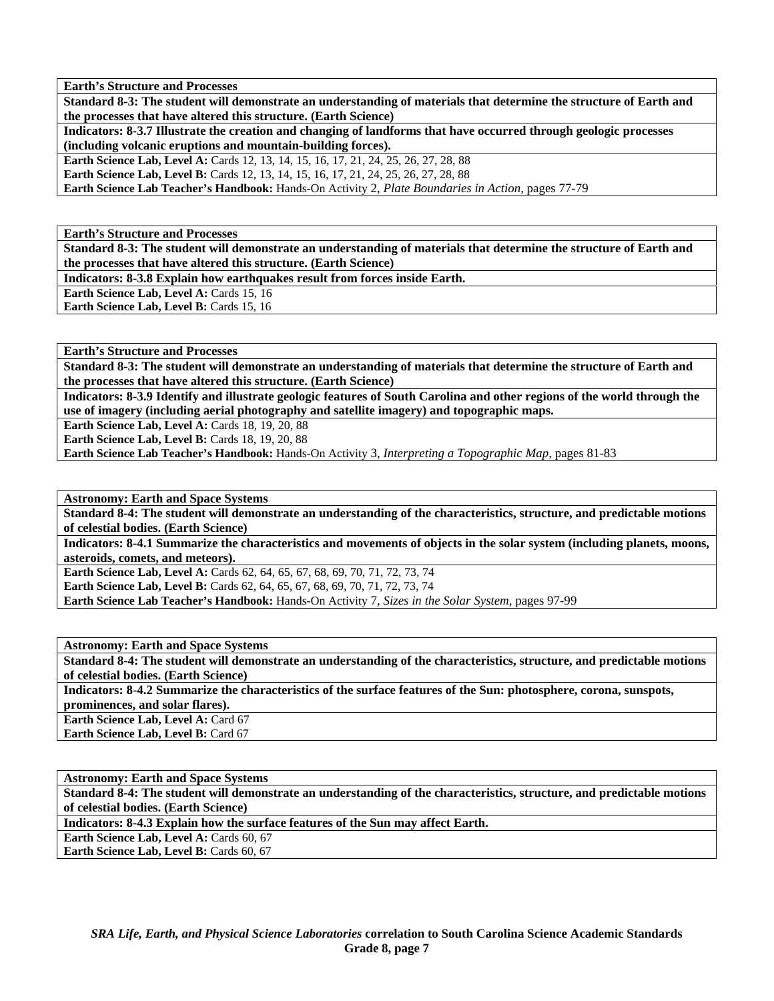**Earth's Structure and Processes** 

**Standard 8-3: The student will demonstrate an understanding of materials that determine the structure of Earth and the processes that have altered this structure. (Earth Science)** 

**Indicators: 8-3.7 Illustrate the creation and changing of landforms that have occurred through geologic processes (including volcanic eruptions and mountain-building forces).** 

**Earth Science Lab, Level A:** Cards 12, 13, 14, 15, 16, 17, 21, 24, 25, 26, 27, 28, 88

**Earth Science Lab, Level B:** Cards 12, 13, 14, 15, 16, 17, 21, 24, 25, 26, 27, 28, 88

**Earth Science Lab Teacher's Handbook:** Hands-On Activity 2, *Plate Boundaries in Action,* pages 77-79

**Earth's Structure and Processes** 

**Standard 8-3: The student will demonstrate an understanding of materials that determine the structure of Earth and the processes that have altered this structure. (Earth Science)** 

**Indicators: 8-3.8 Explain how earthquakes result from forces inside Earth.** 

Earth Science Lab, Level A: Cards 15, 16 Earth Science Lab, Level B: Cards 15, 16

**Earth's Structure and Processes** 

**Standard 8-3: The student will demonstrate an understanding of materials that determine the structure of Earth and the processes that have altered this structure. (Earth Science)** 

**Indicators: 8-3.9 Identify and illustrate geologic features of South Carolina and other regions of the world through the use of imagery (including aerial photography and satellite imagery) and topographic maps.** 

**Earth Science Lab, Level A: Cards 18, 19, 20, 88** 

**Earth Science Lab, Level B: Cards 18, 19, 20, 88** 

**Earth Science Lab Teacher's Handbook:** Hands-On Activity 3, *Interpreting a Topographic Map,* pages 81-83

**Astronomy: Earth and Space Systems** 

**Standard 8-4: The student will demonstrate an understanding of the characteristics, structure, and predictable motions of celestial bodies. (Earth Science)** 

**Indicators: 8-4.1 Summarize the characteristics and movements of objects in the solar system (including planets, moons, asteroids, comets, and meteors).** 

**Earth Science Lab, Level A: Cards 62, 64, 65, 67, 68, 69, 70, 71, 72, 73, 74 Earth Science Lab, Level B:** Cards 62, 64, 65, 67, 68, 69, 70, 71, 72, 73, 74 **Earth Science Lab Teacher's Handbook:** Hands-On Activity 7, *Sizes in the Solar System,* pages 97-99

**Astronomy: Earth and Space Systems** 

**Standard 8-4: The student will demonstrate an understanding of the characteristics, structure, and predictable motions of celestial bodies. (Earth Science)** 

**Indicators: 8-4.2 Summarize the characteristics of the surface features of the Sun: photosphere, corona, sunspots, prominences, and solar flares).** 

**Earth Science Lab, Level A: Card 67** 

**Earth Science Lab, Level B: Card 67** 

**Astronomy: Earth and Space Systems Standard 8-4: The student will demonstrate an understanding of the characteristics, structure, and predictable motions of celestial bodies. (Earth Science) Indicators: 8-4.3 Explain how the surface features of the Sun may affect Earth. Earth Science Lab, Level A: Cards 60, 67 Earth Science Lab, Level B: Cards 60, 67**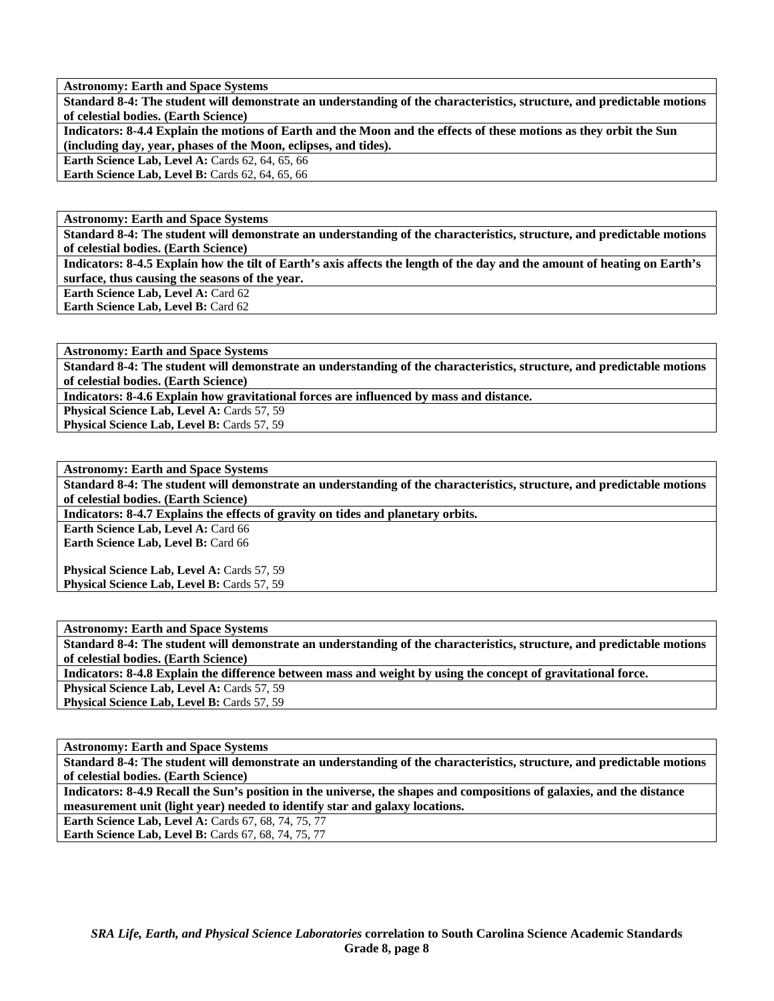**Astronomy: Earth and Space Systems** 

**Standard 8-4: The student will demonstrate an understanding of the characteristics, structure, and predictable motions of celestial bodies. (Earth Science)** 

**Indicators: 8-4.4 Explain the motions of Earth and the Moon and the effects of these motions as they orbit the Sun (including day, year, phases of the Moon, eclipses, and tides).** 

**Earth Science Lab, Level A: Cards 62, 64, 65, 66** 

**Earth Science Lab, Level B:** Cards 62, 64, 65, 66

**Astronomy: Earth and Space Systems** 

**Standard 8-4: The student will demonstrate an understanding of the characteristics, structure, and predictable motions of celestial bodies. (Earth Science)** 

**Indicators: 8-4.5 Explain how the tilt of Earth's axis affects the length of the day and the amount of heating on Earth's surface, thus causing the seasons of the year.** 

Earth Science Lab, Level A: Card 62

**Earth Science Lab, Level B:** Card 62

**Astronomy: Earth and Space Systems** 

**Standard 8-4: The student will demonstrate an understanding of the characteristics, structure, and predictable motions of celestial bodies. (Earth Science)** 

**Indicators: 8-4.6 Explain how gravitational forces are influenced by mass and distance.** 

**Physical Science Lab, Level A: Cards 57, 59** 

Physical Science Lab, Level B: Cards 57, 59

**Astronomy: Earth and Space Systems Standard 8-4: The student will demonstrate an understanding of the characteristics, structure, and predictable motions of celestial bodies. (Earth Science) Indicators: 8-4.7 Explains the effects of gravity on tides and planetary orbits.** 

**Earth Science Lab, Level A: Card 66** 

Earth Science Lab, Level B: Card 66

Physical Science Lab, Level A: Cards 57, 59 **Physical Science Lab, Level B: Cards 57, 59** 

**Astronomy: Earth and Space Systems** 

**Standard 8-4: The student will demonstrate an understanding of the characteristics, structure, and predictable motions of celestial bodies. (Earth Science)** 

**Indicators: 8-4.8 Explain the difference between mass and weight by using the concept of gravitational force.** 

**Physical Science Lab, Level A: Cards 57, 59** Physical Science Lab, Level B: Cards 57, 59

**Astronomy: Earth and Space Systems** 

**Standard 8-4: The student will demonstrate an understanding of the characteristics, structure, and predictable motions of celestial bodies. (Earth Science)** 

**Indicators: 8-4.9 Recall the Sun's position in the universe, the shapes and compositions of galaxies, and the distance measurement unit (light year) needed to identify star and galaxy locations. Earth Science Lab, Level A: Cards 67, 68, 74, 75, 77** 

**Earth Science Lab, Level B: Cards 67, 68, 74, 75, 77**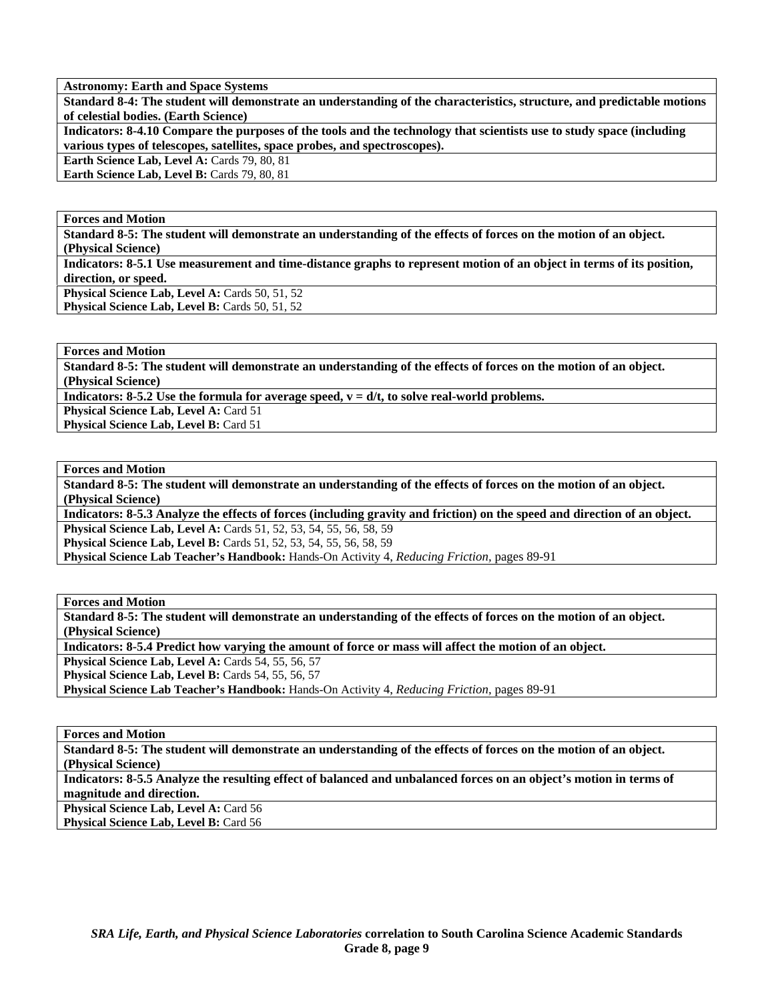**Astronomy: Earth and Space Systems** 

**Standard 8-4: The student will demonstrate an understanding of the characteristics, structure, and predictable motions of celestial bodies. (Earth Science)** 

**Indicators: 8-4.10 Compare the purposes of the tools and the technology that scientists use to study space (including various types of telescopes, satellites, space probes, and spectroscopes).** 

**Earth Science Lab, Level A: Cards 79, 80, 81** 

Earth Science Lab, Level B: Cards 79, 80, 81

**Forces and Motion** 

**Standard 8-5: The student will demonstrate an understanding of the effects of forces on the motion of an object. (Physical Science)** 

**Indicators: 8-5.1 Use measurement and time-distance graphs to represent motion of an object in terms of its position, direction, or speed.** 

Physical Science Lab, Level A: Cards 50, 51, 52

Physical Science Lab, Level B: Cards 50, 51, 52

**Forces and Motion** 

**Standard 8-5: The student will demonstrate an understanding of the effects of forces on the motion of an object. (Physical Science)** 

**Indicators: 8-5.2 Use the formula for average speed,**  $v = d/t$ **, to solve real-world problems.** 

**Physical Science Lab, Level A: Card 51** 

**Physical Science Lab, Level B: Card 51** 

**Forces and Motion** 

**Standard 8-5: The student will demonstrate an understanding of the effects of forces on the motion of an object. (Physical Science)** 

**Indicators: 8-5.3 Analyze the effects of forces (including gravity and friction) on the speed and direction of an object. Physical Science Lab, Level A:** Cards 51, 52, 53, 54, 55, 56, 58, 59

**Physical Science Lab, Level B:** Cards 51, 52, 53, 54, 55, 56, 58, 59

**Physical Science Lab Teacher's Handbook:** Hands-On Activity 4, *Reducing Friction,* pages 89-91

**Forces and Motion** 

**Standard 8-5: The student will demonstrate an understanding of the effects of forces on the motion of an object. (Physical Science)** 

**Indicators: 8-5.4 Predict how varying the amount of force or mass will affect the motion of an object.** 

**Physical Science Lab, Level A: Cards 54, 55, 56, 57** 

Physical Science Lab, Level B: Cards 54, 55, 56, 57

**Physical Science Lab Teacher's Handbook:** Hands-On Activity 4, *Reducing Friction,* pages 89-91

**Forces and Motion** 

**Standard 8-5: The student will demonstrate an understanding of the effects of forces on the motion of an object. (Physical Science)** 

**Indicators: 8-5.5 Analyze the resulting effect of balanced and unbalanced forces on an object's motion in terms of magnitude and direction.** 

**Physical Science Lab, Level A: Card 56** Physical Science Lab, Level B: Card 56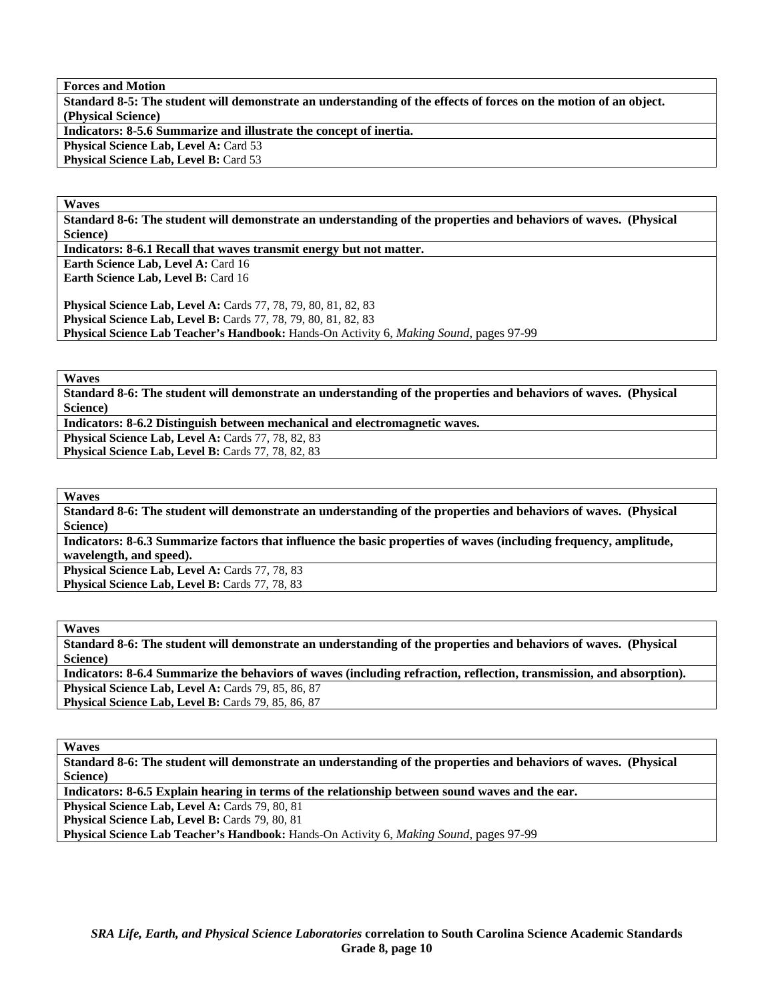**Forces and Motion** 

**Standard 8-5: The student will demonstrate an understanding of the effects of forces on the motion of an object. (Physical Science)** 

**Indicators: 8-5.6 Summarize and illustrate the concept of inertia.** 

**Physical Science Lab, Level A: Card 53** 

**Physical Science Lab, Level B: Card 53** 

**Waves** 

**Standard 8-6: The student will demonstrate an understanding of the properties and behaviors of waves. (Physical Science)** 

**Indicators: 8-6.1 Recall that waves transmit energy but not matter.** 

**Earth Science Lab, Level A: Card 16 Earth Science Lab, Level B: Card 16** 

**Physical Science Lab, Level A:** Cards 77, 78, 79, 80, 81, 82, 83 **Physical Science Lab, Level B:** Cards 77, 78, 79, 80, 81, 82, 83 **Physical Science Lab Teacher's Handbook:** Hands-On Activity 6, *Making Sound,* pages 97-99

**Waves** 

**Standard 8-6: The student will demonstrate an understanding of the properties and behaviors of waves. (Physical Science)** 

**Indicators: 8-6.2 Distinguish between mechanical and electromagnetic waves.** 

**Physical Science Lab, Level A: Cards 77, 78, 82, 83** 

Physical Science Lab, Level B: Cards 77, 78, 82, 83

**Waves** 

**Standard 8-6: The student will demonstrate an understanding of the properties and behaviors of waves. (Physical Science)** 

**Indicators: 8-6.3 Summarize factors that influence the basic properties of waves (including frequency, amplitude, wavelength, and speed).** 

Physical Science Lab, Level A: Cards 77, 78, 83 Physical Science Lab, Level B: Cards 77, 78, 83

**Waves** 

**Standard 8-6: The student will demonstrate an understanding of the properties and behaviors of waves. (Physical Science)** 

**Indicators: 8-6.4 Summarize the behaviors of waves (including refraction, reflection, transmission, and absorption). Physical Science Lab, Level A: Cards 79, 85, 86, 87** Physical Science Lab, Level B: Cards 79, 85, 86, 87

**Waves** 

**Standard 8-6: The student will demonstrate an understanding of the properties and behaviors of waves. (Physical Science)** 

**Indicators: 8-6.5 Explain hearing in terms of the relationship between sound waves and the ear.** 

Physical Science Lab, Level A: Cards 79, 80, 81

Physical Science Lab, Level B: Cards 79, 80, 81

**Physical Science Lab Teacher's Handbook:** Hands-On Activity 6, *Making Sound,* pages 97-99